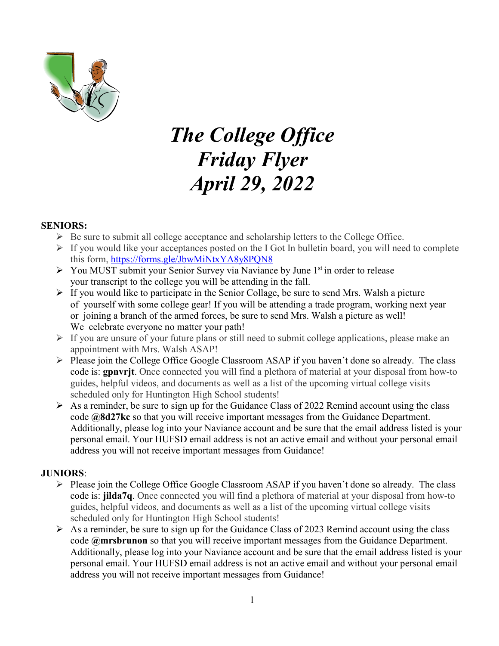

# *The College Office Friday Flyer April 29, 2022*

#### **SENIORS:**

- $\triangleright$  Be sure to submit all college acceptance and scholarship letters to the College Office.
- $\triangleright$  If you would like your acceptances posted on the I Got In bulletin board, you will need to complete this form,<https://forms.gle/JbwMiNtxYA8y8PQN8>
- $\triangleright$  You MUST submit your Senior Survey via Naviance by June 1<sup>st</sup> in order to release your transcript to the college you will be attending in the fall.
- $\triangleright$  If you would like to participate in the Senior Collage, be sure to send Mrs. Walsh a picture of yourself with some college gear! If you will be attending a trade program, working next year or joining a branch of the armed forces, be sure to send Mrs. Walsh a picture as well! We celebrate everyone no matter your path!
- $\triangleright$  If you are unsure of your future plans or still need to submit college applications, please make an appointment with Mrs. Walsh ASAP!
- $\triangleright$  Please join the College Office Google Classroom ASAP if you haven't done so already. The class code is: **gpnvrjt**. Once connected you will find a plethora of material at your disposal from how-to guides, helpful videos, and documents as well as a list of the upcoming virtual college visits scheduled only for Huntington High School students!
- $\triangleright$  As a reminder, be sure to sign up for the Guidance Class of 2022 Remind account using the class code **@8d27kc** so that you will receive important messages from the Guidance Department. Additionally, please log into your Naviance account and be sure that the email address listed is your personal email. Your HUFSD email address is not an active email and without your personal email address you will not receive important messages from Guidance!

#### **JUNIORS**:

- $\triangleright$  Please join the College Office Google Classroom ASAP if you haven't done so already. The class code is: **jilda7q**. Once connected you will find a plethora of material at your disposal from how-to guides, helpful videos, and documents as well as a list of the upcoming virtual college visits scheduled only for Huntington High School students!
- $\triangleright$  As a reminder, be sure to sign up for the Guidance Class of 2023 Remind account using the class code **@mrsbrunon** so that you will receive important messages from the Guidance Department. Additionally, please log into your Naviance account and be sure that the email address listed is your personal email. Your HUFSD email address is not an active email and without your personal email address you will not receive important messages from Guidance!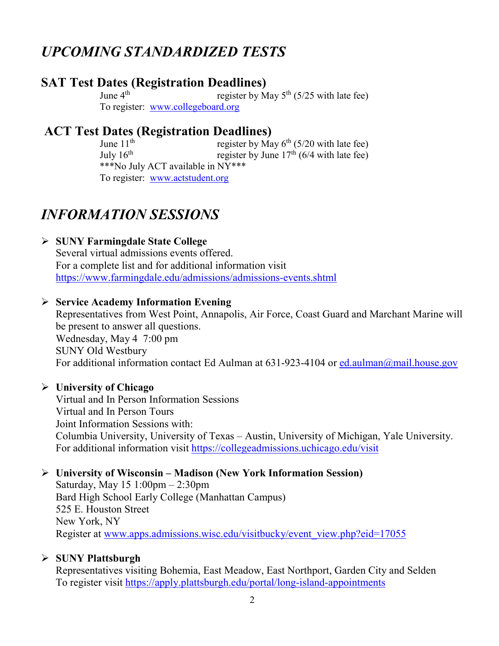# *UPCOMING STANDARDIZED TESTS*

# **SAT Test Dates (Registration Deadlines)**<br>June 4<sup>th</sup> register by N

register by May  $5<sup>th</sup>$  (5/25 with late fee) To register: [www.collegeboard.org](http://www.collegeboard.org/)

# **ACT Test Dates (Registration Deadlines)**<br>lune 11<sup>th</sup><br>register by Ma

register by May  $6<sup>th</sup>$  (5/20 with late fee) July  $16^{th}$  register by June  $17^{th}$  (6/4 with late fee) \*\*\*No July ACT available in NY\*\*\* To register: [www.actstudent.org](http://www.actstudent.org/)

# *INFORMATION SESSIONS*

# **SUNY Farmingdale State College**

Several virtual admissions events offered. For a complete list and for additional information visit <https://www.farmingdale.edu/admissions/admissions-events.shtml>

# **Service Academy Information Evening**

Representatives from West Point, Annapolis, Air Force, Coast Guard and Marchant Marine will be present to answer all questions. Wednesday, May 4 7:00 pm SUNY Old Westbury For additional information contact Ed Aulman at 631-923-4104 or ed. aulman@mail.house.gov

# **University of Chicago**

Virtual and In Person Information Sessions Virtual and In Person Tours Joint Information Sessions with: Columbia University, University of Texas – Austin, University of Michigan, Yale University. For additional information visit<https://collegeadmissions.uchicago.edu/visit>

# **University of Wisconsin – Madison (New York Information Session)**

Saturday, May 15 1:00pm – 2:30pm Bard High School Early College (Manhattan Campus) 525 E. Houston Street New York, NY Register at [www.apps.admissions.wisc.edu/visitbucky/event\\_view.php?eid=17055](http://www.apps.admissions.wisc.edu/visitbucky/event_view.php?eid=17055)

# **SUNY Plattsburgh**

Representatives visiting Bohemia, East Meadow, East Northport, Garden City and Selden To register visit<https://apply.plattsburgh.edu/portal/long-island-appointments>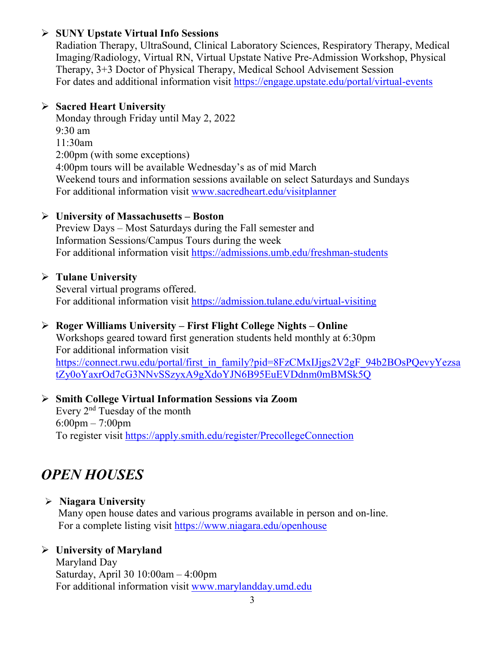### **SUNY Upstate Virtual Info Sessions**

Radiation Therapy, UltraSound, Clinical Laboratory Sciences, Respiratory Therapy, Medical Imaging/Radiology, Virtual RN, Virtual Upstate Native Pre-Admission Workshop, Physical Therapy, 3+3 Doctor of Physical Therapy, Medical School Advisement Session For dates and additional information visit <https://engage.upstate.edu/portal/virtual-events>

#### **Sacred Heart University**

Monday through Friday until May 2, 2022 9:30 am 11:30am 2:00pm (with some exceptions) 4:00pm tours will be available Wednesday's as of mid March Weekend tours and information sessions available on select Saturdays and Sundays For additional information visit [www.sacredheart.edu/visitplanner](http://www.sacredheart.edu/visitplanner)

#### **University of Massachusetts – Boston**

Preview Days – Most Saturdays during the Fall semester and Information Sessions/Campus Tours during the week For additional information visit<https://admissions.umb.edu/freshman-students>

# **Tulane University**

Several virtual programs offered. For additional information visit<https://admission.tulane.edu/virtual-visiting>

# **Roger Williams University – First Flight College Nights – Online**

Workshops geared toward first generation students held monthly at 6:30pm For additional information visit [https://connect.rwu.edu/portal/first\\_in\\_family?pid=8FzCMxIJjgs2V2gF\\_94b2BOsPQevyYezsa](https://connect.rwu.edu/portal/first_in_family?pid=8FzCMxIJjgs2V2gF_94b2BOsPQevyYezsatZy0oYaxrOd7cG3NNvSSzyxA9gXdoYJN6B95EuEVDdnm0mBMSk5Q) [tZy0oYaxrOd7cG3NNvSSzyxA9gXdoYJN6B95EuEVDdnm0mBMSk5Q](https://connect.rwu.edu/portal/first_in_family?pid=8FzCMxIJjgs2V2gF_94b2BOsPQevyYezsatZy0oYaxrOd7cG3NNvSSzyxA9gXdoYJN6B95EuEVDdnm0mBMSk5Q)

#### **Smith College Virtual Information Sessions via Zoom** Every 2nd Tuesday of the month

6:00pm – 7:00pm To register visit<https://apply.smith.edu/register/PrecollegeConnection>

# *OPEN HOUSES*

# **Niagara University**

Many open house dates and various programs available in person and on-line. For a complete listing visit<https://www.niagara.edu/openhouse>

# **University of Maryland**

Maryland Day Saturday, April 30 10:00am – 4:00pm For additional information visit [www.marylandday.umd.edu](http://www.marylandday.umd.edu/)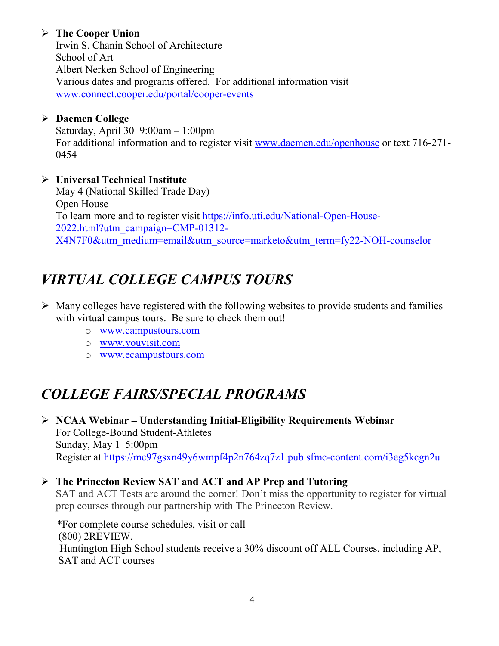# **The Cooper Union**

Irwin S. Chanin School of Architecture School of Art Albert Nerken School of Engineering Various dates and programs offered. For additional information visit [www.connect.cooper.edu/portal/cooper-events](http://www.connect.cooper.edu/portal/cooper-events)

#### **Daemen College**

Saturday, April 30 9:00am – 1:00pm For additional information and to register visit [www.daemen.edu/openhouse](http://www.daemen.edu/openhouse) or text 716-271- 0454

#### **Universal Technical Institute**

May 4 (National Skilled Trade Day) Open House To learn more and to register visit [https://info.uti.edu/National-Open-House-](https://info.uti.edu/National-Open-House-2022.html?utm_campaign=CMP-01312-X4N7F0&utm_medium=email&utm_source=marketo&utm_term=fy22-NOH-counselor)[2022.html?utm\\_campaign=CMP-01312-](https://info.uti.edu/National-Open-House-2022.html?utm_campaign=CMP-01312-X4N7F0&utm_medium=email&utm_source=marketo&utm_term=fy22-NOH-counselor) [X4N7F0&utm\\_medium=email&utm\\_source=marketo&utm\\_term=fy22-NOH-counselor](https://info.uti.edu/National-Open-House-2022.html?utm_campaign=CMP-01312-X4N7F0&utm_medium=email&utm_source=marketo&utm_term=fy22-NOH-counselor)

# *VIRTUAL COLLEGE CAMPUS TOURS*

- $\triangleright$  Many colleges have registered with the following websites to provide students and families with virtual campus tours. Be sure to check them out!
	- o [www.campustours.com](http://www.campustours.com/)
	- o [www.youvisit.com](http://www.youvisit.com/)
	- o [www.ecampustours.com](http://www.ecampustours.com/)

# *COLLEGE FAIRS/SPECIAL PROGRAMS*

 **NCAA Webinar – Understanding Initial-Eligibility Requirements Webinar** For College-Bound Student-Athletes Sunday, May 1 5:00pm Register at<https://mc97gsxn49y6wmpf4p2n764zq7z1.pub.sfmc-content.com/i3eg5kcgn2u>

#### **The Princeton Review SAT and ACT and AP Prep and Tutoring**

SAT and ACT Tests are around the corner! Don't miss the opportunity to register for virtual prep courses through our partnership with The Princeton Review.

 \*For complete course schedules, visit or call (800) 2REVIEW. Huntington High School students receive a 30% discount off ALL Courses, including AP, SAT and ACT courses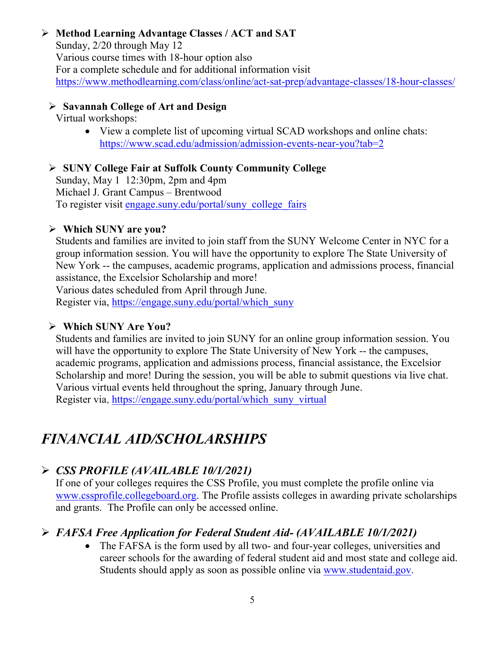# **Method Learning Advantage Classes / ACT and SAT**

Sunday, 2/20 through May 12 Various course times with 18-hour option also For a complete schedule and for additional information visit <https://www.methodlearning.com/class/online/act-sat-prep/advantage-classes/18-hour-classes/>

### **Savannah College of Art and Design**

#### Virtual workshops:

• View a complete list of upcoming virtual SCAD workshops and online chats: <https://www.scad.edu/admission/admission-events-near-you?tab=2>

# **SUNY College Fair at Suffolk County Community College**

Sunday, May 1 12:30pm, 2pm and 4pm Michael J. Grant Campus – Brentwood To register visit [engage.suny.edu/portal/suny\\_college\\_fairs](https://linkprotect.cudasvc.com/url?a=https%3a%2f%2fmx.technolutions.net%2fss%2fc%2fMpdRvhYDsdEMdWAl7Z5zUI3-tCpYlmeYtKdZv5fVth1fKkUeqA6ISwRqoViOZwW9R_D-NQSQKKuwFigl6PsIbw%2f3kn%2flyGGs_V4QqmnU26pNotLBA%2fh0%2f7Ui_ZwIhdWTKLRKzZv_Rfmb6Fs6ceyGaQqVi6i0NzBs&c=E,1,ys5hhDL1uFpWv012K9nco8g_utsk56fy_9ZYkToqBjtCD9VIRnVFaRRI1qEbhb4ySbYH4iboS9n7vl-H0pux2Qmoh2lEmD8BnUMGO412biOW-NigAzujR9Uw&typo=1)

# **Which SUNY are you?**

Students and families are invited to join staff from the SUNY Welcome Center in NYC for a group information session. You will have the opportunity to explore The State University of New York -- the campuses, academic programs, application and admissions process, financial assistance, the Excelsior Scholarship and more!

Various dates scheduled from April through June.

Register via, [https://engage.suny.edu/portal/which\\_suny](https://engage.suny.edu/portal/which_suny)

# **Which SUNY Are You?**

Students and families are invited to join SUNY for an online group information session. You will have the opportunity to explore The State University of New York -- the campuses, academic programs, application and admissions process, financial assistance, the Excelsior Scholarship and more! During the session, you will be able to submit questions via live chat. Various virtual events held throughout the spring, January through June. Register via, [https://engage.suny.edu/portal/which\\_suny\\_virtual](https://engage.suny.edu/portal/which_suny_virtual)

# *FINANCIAL AID/SCHOLARSHIPS*

# *CSS PROFILE (AVAILABLE 10/1/2021)*

If one of your colleges requires the CSS Profile, you must complete the profile online via [www.cssprofile.collegeboard.org.](http://www.cssprofile.collegeboard.org/) The Profile assists colleges in awarding private scholarships and grants. The Profile can only be accessed online.

# *FAFSA Free Application for Federal Student Aid- (AVAILABLE 10/1/2021)*

• The FAFSA is the form used by all two- and four-year colleges, universities and career schools for the awarding of [federal student aid](http://studentaid.ed.gov/students/publications/student_guide/2010-2011/english/typesofFSA_grants.htm) and most state and college aid. Students should apply as soon as possible online via [www.studentaid.gov.](http://www.studentaid.gov/)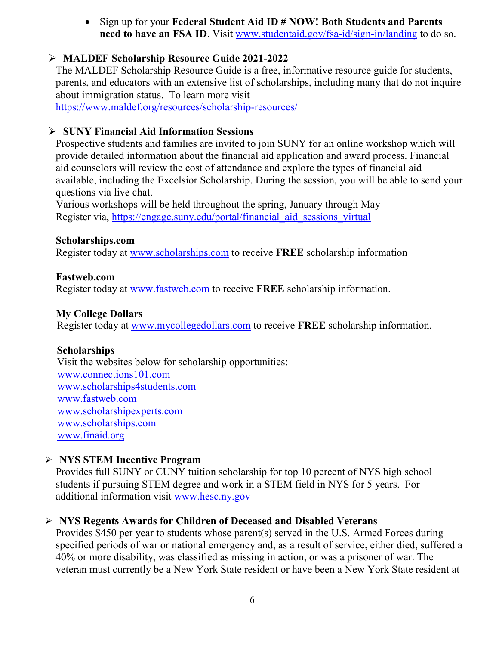• Sign up for your **Federal Student Aid ID # NOW! Both Students and Parents need to have an FSA ID**. Visit [www.studentaid.gov/fsa-id/sign-in/landing](http://www.studentaid.gov/fsa-id/sign-in/landing) to do so.

# **MALDEF Scholarship Resource Guide 2021-2022**

The MALDEF Scholarship Resource Guide is a free, informative resource guide for students, parents, and educators with an extensive list of scholarships, including many that do not inquire about immigration status. To learn more visit <https://www.maldef.org/resources/scholarship-resources/>

#### **SUNY Financial Aid Information Sessions**

Prospective students and families are invited to join SUNY for an online workshop which will provide detailed information about the financial aid application and award process. Financial aid counselors will review the cost of attendance and explore the types of financial aid available, including the Excelsior Scholarship. During the session, you will be able to send your questions via live chat.

Various workshops will be held throughout the spring, January through May Register via, https://engage.suny.edu/portal/financial aid sessions virtual

#### **Scholarships.com**

Register today at [www.scholarships.com](http://www.scholarships.com/) to receive **FREE** scholarship information

#### **Fastweb.com**

Register today at [www.fastweb.com](http://www.fastweb.com/) to receive **FREE** scholarship information.

# **My College Dollars**

Register today at [www.mycollegedollars.com](http://www.mycollegedollars.com/) to receive **FREE** scholarship information.

# **Scholarships**

 Visit the websites below for scholarship opportunities: [www.connections101.com](http://www.connections101.com/) [www.scholarships4students.com](http://www.scholarships4students.com/) [www.fastweb.com](http://www.fastweb.com/) [www.scholarshipexperts.com](http://www.scholarshipexperts.com/) [www.scholarships.com](http://www.scholarships.com/) [www.finaid.org](http://www.finaid.org/)

# **NYS STEM Incentive Program**

Provides full SUNY or CUNY tuition scholarship for top 10 percent of NYS high school students if pursuing STEM degree and work in a STEM field in NYS for 5 years. For additional information visit [www.hesc.ny.gov](http://www.hesc.ny.gov/)

# **NYS Regents Awards for Children of Deceased and Disabled Veterans**

Provides \$450 per year to students whose parent(s) served in the U.S. Armed Forces during specified periods of war or national emergency and, as a result of service, either died, suffered a 40% or more disability, was classified as missing in action, or was a prisoner of war. The veteran must currently be a New York State resident or have been a New York State resident at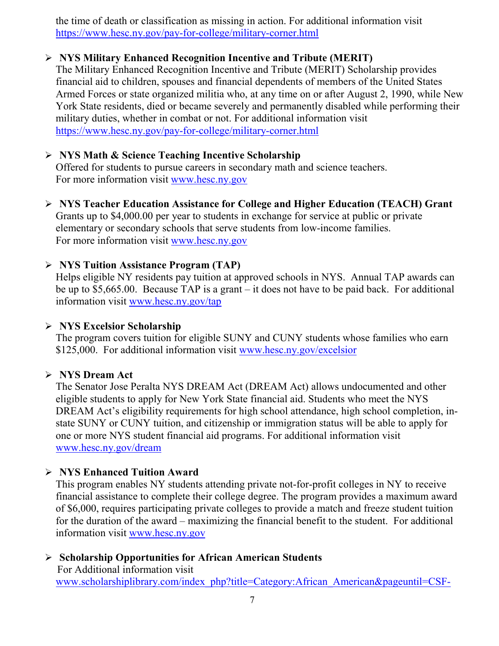the time of death or classification as missing in action. For additional information visit <https://www.hesc.ny.gov/pay-for-college/military-corner.html>

# **NYS Military Enhanced Recognition Incentive and Tribute (MERIT)**

The Military Enhanced Recognition Incentive and Tribute (MERIT) Scholarship provides financial aid to children, spouses and financial dependents of members of the United States Armed Forces or state organized militia who, at any time on or after August 2, 1990, while New York State residents, died or became severely and permanently disabled while performing their military duties, whether in combat or not. For additional information visit <https://www.hesc.ny.gov/pay-for-college/military-corner.html>

# **NYS Math & Science Teaching Incentive Scholarship**

Offered for students to pursue careers in secondary math and science teachers. For more information visit [www.hesc.ny.gov](http://www.hesc.ny.gov/)

 **NYS Teacher Education Assistance for College and Higher Education (TEACH) Grant** Grants up to \$4,000.00 per year to students in exchange for service at public or private elementary or secondary schools that serve students from low-income families. For more information visit [www.hesc.ny.gov](http://www.hesc.ny.gov/) 

#### **NYS Tuition Assistance Program (TAP)**

Helps eligible NY residents pay tuition at approved schools in NYS. Annual TAP awards can be up to \$5,665.00. Because TAP is a grant – it does not have to be paid back. For additional information visit [www.hesc.ny.gov/tap](http://www.hesc.ny.gov/tap)

#### **NYS Excelsior Scholarship**

The program covers tuition for eligible SUNY and CUNY students whose families who earn \$125,000. For additional information visit [www.hesc.ny.gov/](http://www.hesc.ny.gov/)excelsior

#### **NYS Dream Act**

The Senator Jose Peralta NYS DREAM Act (DREAM Act) allows undocumented and other eligible students to apply for New York State financial aid. Students who meet the NYS DREAM Act's eligibility requirements for high school attendance, high school completion, instate SUNY or CUNY tuition, and citizenship or immigration status will be able to apply for one or more NYS student financial aid programs. For additional information visit [www.hesc.ny.gov/dream](http://www.hesc.ny.gov/dream)

# **NYS Enhanced Tuition Award**

This program enables NY students attending private not-for-profit colleges in NY to receive financial assistance to complete their college degree. The program provides a maximum award of \$6,000, requires participating private colleges to provide a match and freeze student tuition for the duration of the award – maximizing the financial benefit to the student. For additional information visit [www.hesc.ny.gov](http://www.hesc.ny.gov/)

# **Scholarship Opportunities for African American Students**

 For Additional information visit [www.scholarshiplibrary.com/index\\_php?title=Category:African\\_American&pageuntil=CSF-](http://www.scholarshiplibrary.com/index_php?title=Category:African_American&pageuntil=CSF-%20%20%20McCall+Educational+Foundation#mw-pages)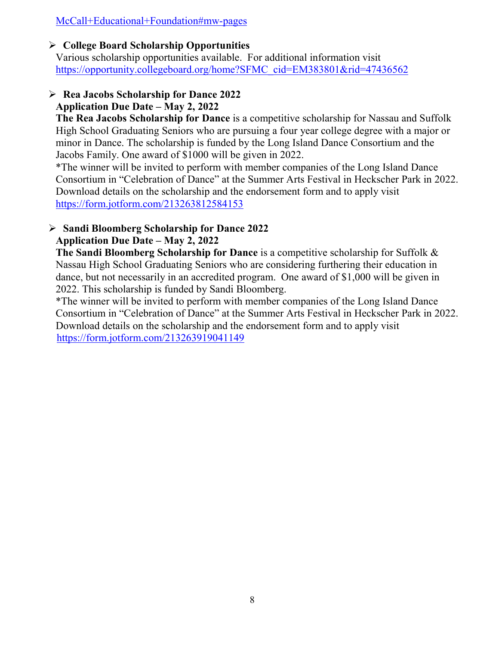[McCall+Educational+Foundation#mw-pages](http://www.scholarshiplibrary.com/index_php?title=Category:African_American&pageuntil=CSF-%20%20%20McCall+Educational+Foundation#mw-pages)

#### **College Board Scholarship Opportunities**

Various scholarship opportunities available. For additional information visit [https://opportunity.collegeboard.org/home?SFMC\\_cid=EM383801&rid=47436562](https://opportunity.collegeboard.org/home?SFMC_cid=EM383801&rid=47436562)

# **Rea Jacobs Scholarship for Dance 2022 Application Due Date – May 2, 2022**

**The Rea Jacobs Scholarship for Dance** is a competitive scholarship for Nassau and Suffolk High School Graduating Seniors who are pursuing a four year college degree with a major or minor in Dance. The scholarship is funded by the Long Island Dance Consortium and the Jacobs Family. One award of \$1000 will be given in 2022.

\*The winner will be invited to perform with member companies of the Long Island Dance Consortium in "Celebration of Dance" at the Summer Arts Festival in Heckscher Park in 2022. Download details on the scholarship and the endorsement form and to apply visit <https://form.jotform.com/213263812584153>

# **Sandi Bloomberg Scholarship for Dance 2022**

### **Application Due Date – May 2, 2022**

**The Sandi Bloomberg Scholarship for Dance** is a competitive scholarship for Suffolk & Nassau High School Graduating Seniors who are considering furthering their education in dance, but not necessarily in an accredited program. One award of \$1,000 will be given in 2022. This scholarship is funded by Sandi Bloomberg.

\*The winner will be invited to perform with member companies of the Long Island Dance Consortium in "Celebration of Dance" at the Summer Arts Festival in Heckscher Park in 2022. Download details on the scholarship and the endorsement form and to apply visit <https://form.jotform.com/213263919041149>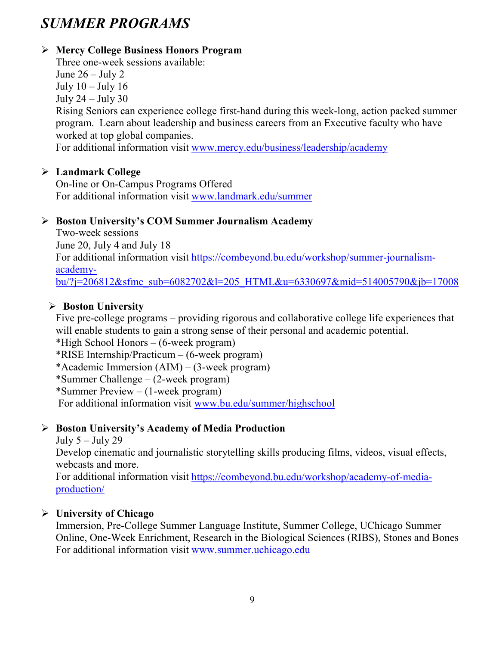# *SUMMER PROGRAMS*

# **Mercy College Business Honors Program**

Three one-week sessions available: June  $26 -$  July 2

July  $10 -$ July  $16$ 

July  $24 -$ July  $30$ 

Rising Seniors can experience college first-hand during this week-long, action packed summer program. Learn about leadership and business careers from an Executive faculty who have worked at top global companies.

For additional information visit [www.mercy.edu/business/leadership/academy](http://www.mercy.edu/business/leadership/academy)

# **Landmark College**

On-line or On-Campus Programs Offered For additional information visit [www.landmark.edu/summer](http://www.landmark.edu/summer)

# **Boston University's COM Summer Journalism Academy**

Two-week sessions June 20, July 4 and July 18 For additional information visit [https://combeyond.bu.edu/workshop/summer-journalism](https://combeyond.bu.edu/workshop/summer-journalism-academy-bu/?j=206812&sfmc_sub=6082702&l=205_HTML&u=6330697&mid=514005790&jb=17008)[academy](https://combeyond.bu.edu/workshop/summer-journalism-academy-bu/?j=206812&sfmc_sub=6082702&l=205_HTML&u=6330697&mid=514005790&jb=17008)[bu/?j=206812&sfmc\\_sub=6082702&l=205\\_HTML&u=6330697&mid=514005790&jb=17008](https://combeyond.bu.edu/workshop/summer-journalism-academy-bu/?j=206812&sfmc_sub=6082702&l=205_HTML&u=6330697&mid=514005790&jb=17008)

# **Boston University**

Five pre-college programs – providing rigorous and collaborative college life experiences that will enable students to gain a strong sense of their personal and academic potential.

\*High School Honors – (6-week program)

\*RISE Internship/Practicum – (6-week program)

\*Academic Immersion (AIM) – (3-week program)

\*Summer Challenge – (2-week program)

\*Summer Preview – (1-week program)

For additional information visit [www.bu.edu/summer/highschool](http://www.bu.edu/summer/highschool)

# **Boston University's Academy of Media Production**

# July  $5 -$  July 29

Develop cinematic and journalistic storytelling skills producing films, videos, visual effects, webcasts and more.

For additional information visit [https://combeyond.bu.edu/workshop/academy-of-media](https://combeyond.bu.edu/workshop/academy-of-media-production/)[production/](https://combeyond.bu.edu/workshop/academy-of-media-production/)

# **University of Chicago**

Immersion, Pre-College Summer Language Institute, Summer College, UChicago Summer Online, One-Week Enrichment, Research in the Biological Sciences (RIBS), Stones and Bones For additional information visit [www.summer.uchicago.edu](http://www.summer.uchicago.edu/)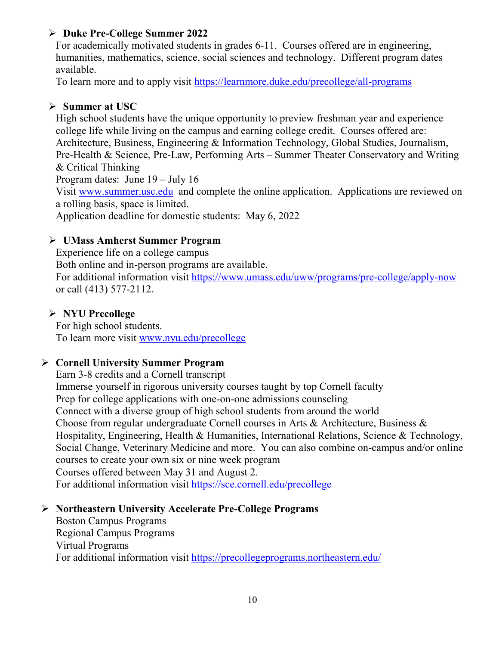### **Duke Pre-College Summer 2022**

For academically motivated students in grades 6-11. Courses offered are in engineering, humanities, mathematics, science, social sciences and technology. Different program dates available.

To learn more and to apply visit<https://learnmore.duke.edu/precollege/all-programs>

### **Summer at USC**

High school students have the unique opportunity to preview freshman year and experience college life while living on the campus and earning college credit. Courses offered are: Architecture, Business, Engineering & Information Technology, Global Studies, Journalism, Pre-Health & Science, Pre-Law, Performing Arts – Summer Theater Conservatory and Writing & Critical Thinking Program dates: June 19 – July 16 Visit [www.summer.usc.edu](http://www.summer.usc.edu/) and complete the online application. Applications are reviewed on a rolling basis, space is limited. Application deadline for domestic students: May 6, 2022

#### **UMass Amherst Summer Program**

Experience life on a college campus

Both online and in-person programs are available. For additional information visit<https://www.umass.edu/uww/programs/pre-college/apply-now> or call (413) 577-2112.

#### **NYU Precollege**

For high school students. To learn more visit [www.nyu.edu/precollege](http://www.nyu.edu/precollege)

#### **Cornell University Summer Program**

Earn 3-8 credits and a Cornell transcript Immerse yourself in rigorous university courses taught by top Cornell faculty Prep for college applications with one-on-one admissions counseling Connect with a diverse group of high school students from around the world Choose from regular undergraduate Cornell courses in Arts & Architecture, Business & Hospitality, Engineering, Health & Humanities, International Relations, Science & Technology, Social Change, Veterinary Medicine and more. You can also combine on-campus and/or online courses to create your own six or nine week program Courses offered between May 31 and August 2. For additional information visit<https://sce.cornell.edu/precollege>

# **Northeastern University Accelerate Pre-College Programs**

Boston Campus Programs Regional Campus Programs Virtual Programs For additional information visit<https://precollegeprograms.northeastern.edu/>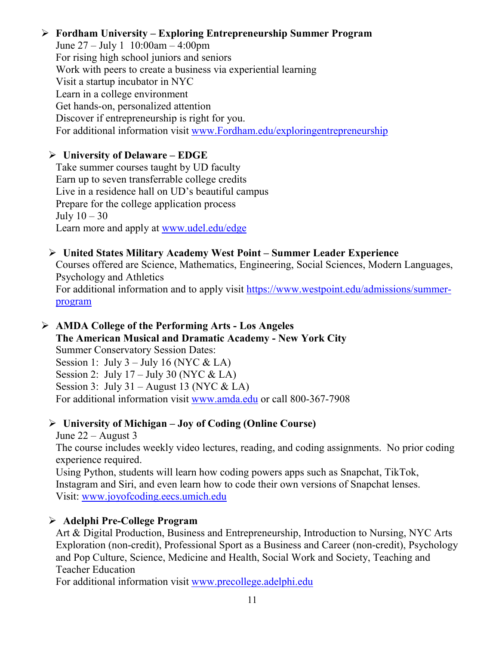#### **Fordham University – Exploring Entrepreneurship Summer Program**

June 27 – July 1 10:00am – 4:00pm For rising high school juniors and seniors Work with peers to create a business via experiential learning Visit a startup incubator in NYC Learn in a college environment Get hands-on, personalized attention Discover if entrepreneurship is right for you. For additional information visit [www.Fordham.edu/exploringentrepreneurship](http://www.fordham.edu/exploringentrepreneurship)

#### **University of Delaware – EDGE**

Take summer courses taught by UD faculty Earn up to seven transferrable college credits Live in a residence hall on UD's beautiful campus Prepare for the college application process July  $10-30$ Learn more and apply at [www.udel.edu/edge](http://www.udel.edu/edge)

#### **United States Military Academy West Point – Summer Leader Experience**

Courses offered are Science, Mathematics, Engineering, Social Sciences, Modern Languages, Psychology and Athletics

For additional information and to apply visit [https://www.westpoint.edu/admissions/summer](https://www.westpoint.edu/admissions/summer-program)[program](https://www.westpoint.edu/admissions/summer-program)

#### **AMDA College of the Performing Arts - Los Angeles The American Musical and Dramatic Academy - New York City**

Summer Conservatory Session Dates: Session 1: July  $3 -$  July 16 (NYC & LA) Session 2: July  $17 -$  July 30 (NYC & LA) Session 3: July 31 – August 13 (NYC & LA) For additional information visit [www.amda.edu](http://www.amda.edu/) or call 800-367-7908

# **University of Michigan – Joy of Coding (Online Course)**

June 22 – August 3

The course includes weekly video lectures, reading, and coding assignments. No prior coding experience required.

Using Python, students will learn how coding powers apps such as Snapchat, TikTok, Instagram and Siri, and even learn how to code their own versions of Snapchat lenses. Visit: [www.joyofcoding.eecs.umich.edu](http://www.joyofcoding.eecs.umich.edu/)

# **Adelphi Pre-College Program**

Art & Digital Production, Business and Entrepreneurship, Introduction to Nursing, NYC Arts Exploration (non-credit), Professional Sport as a Business and Career (non-credit), Psychology and Pop Culture, Science, Medicine and Health, Social Work and Society, Teaching and Teacher Education

For additional information visit [www.precollege.adelphi.edu](http://www.precollege.adelphi.edu/)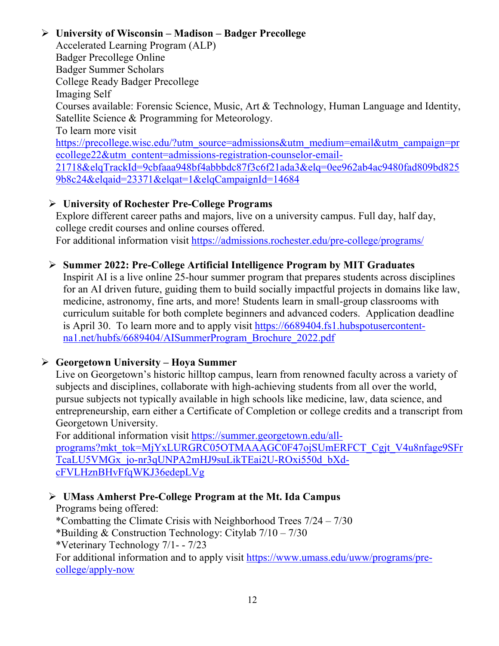# **University of Wisconsin – Madison – Badger Precollege**

Accelerated Learning Program (ALP) Badger Precollege Online Badger Summer Scholars College Ready Badger Precollege Imaging Self Courses available: Forensic Science, Music, Art & Technology, Human Language and Identity, Satellite Science & Programming for Meteorology. To learn more visit [https://precollege.wisc.edu/?utm\\_source=admissions&utm\\_medium=email&utm\\_campaign=pr](https://precollege.wisc.edu/?utm_source=admissions&utm_medium=email&utm_campaign=precollege22&utm_content=admissions-registration-counselor-email-21718&elqTrackId=9cbfaaa948bf4abbbdc87f3c6f21ada3&elq=0ee962ab4ac9480fad809bd8259b8c24&elqaid=23371&elqat=1&elqCampaignId=14684) [ecollege22&utm\\_content=admissions-registration-counselor-email-](https://precollege.wisc.edu/?utm_source=admissions&utm_medium=email&utm_campaign=precollege22&utm_content=admissions-registration-counselor-email-21718&elqTrackId=9cbfaaa948bf4abbbdc87f3c6f21ada3&elq=0ee962ab4ac9480fad809bd8259b8c24&elqaid=23371&elqat=1&elqCampaignId=14684)[21718&elqTrackId=9cbfaaa948bf4abbbdc87f3c6f21ada3&elq=0ee962ab4ac9480fad809bd825](https://precollege.wisc.edu/?utm_source=admissions&utm_medium=email&utm_campaign=precollege22&utm_content=admissions-registration-counselor-email-21718&elqTrackId=9cbfaaa948bf4abbbdc87f3c6f21ada3&elq=0ee962ab4ac9480fad809bd8259b8c24&elqaid=23371&elqat=1&elqCampaignId=14684) [9b8c24&elqaid=23371&elqat=1&elqCampaignId=14684](https://precollege.wisc.edu/?utm_source=admissions&utm_medium=email&utm_campaign=precollege22&utm_content=admissions-registration-counselor-email-21718&elqTrackId=9cbfaaa948bf4abbbdc87f3c6f21ada3&elq=0ee962ab4ac9480fad809bd8259b8c24&elqaid=23371&elqat=1&elqCampaignId=14684)

# **University of Rochester Pre-College Programs**

Explore different career paths and majors, live on a university campus. Full day, half day, college credit courses and online courses offered. For additional information visit<https://admissions.rochester.edu/pre-college/programs/>

# **Summer 2022: Pre-College Artificial Intelligence Program by MIT Graduates**

Inspirit AI is a live online 25-hour summer program that prepares students across disciplines for an AI driven future, guiding them to build socially impactful projects in domains like law, medicine, astronomy, fine arts, and more! Students learn in small-group classrooms with curriculum suitable for both complete beginners and advanced coders. Application deadline is April 30. To learn more and to apply visit [https://6689404.fs1.hubspotusercontent](https://6689404.fs1.hubspotusercontent-na1.net/hubfs/6689404/AISummerProgram_Brochure_2022.pdf)[na1.net/hubfs/6689404/AISummerProgram\\_Brochure\\_2022.pdf](https://6689404.fs1.hubspotusercontent-na1.net/hubfs/6689404/AISummerProgram_Brochure_2022.pdf)

# **Georgetown University – Hoya Summer**

Live on Georgetown's historic hilltop campus, learn from renowned faculty across a variety of subjects and disciplines, collaborate with high-achieving students from all over the world, pursue subjects not typically available in high schools like medicine, law, data science, and entrepreneurship, earn either a Certificate of Completion or college credits and a transcript from Georgetown University.

For additional information visit [https://summer.georgetown.edu/all](https://summer.georgetown.edu/all-programs?mkt_tok=MjYxLURGRC05OTMAAAGC0F47ojSUmERFCT_Cgjt_V4u8nfage9SFrTcaLU5VMGx_jo-nr3qUNPA2mHJ9suLikTEai2U-ROxi550d_bXd-cFVLHznBHvFfqWKJ36edepLVg)[programs?mkt\\_tok=MjYxLURGRC05OTMAAAGC0F47ojSUmERFCT\\_Cgjt\\_V4u8nfage9SFr](https://summer.georgetown.edu/all-programs?mkt_tok=MjYxLURGRC05OTMAAAGC0F47ojSUmERFCT_Cgjt_V4u8nfage9SFrTcaLU5VMGx_jo-nr3qUNPA2mHJ9suLikTEai2U-ROxi550d_bXd-cFVLHznBHvFfqWKJ36edepLVg) [TcaLU5VMGx\\_jo-nr3qUNPA2mHJ9suLikTEai2U-ROxi550d\\_bXd](https://summer.georgetown.edu/all-programs?mkt_tok=MjYxLURGRC05OTMAAAGC0F47ojSUmERFCT_Cgjt_V4u8nfage9SFrTcaLU5VMGx_jo-nr3qUNPA2mHJ9suLikTEai2U-ROxi550d_bXd-cFVLHznBHvFfqWKJ36edepLVg)[cFVLHznBHvFfqWKJ36edepLVg](https://summer.georgetown.edu/all-programs?mkt_tok=MjYxLURGRC05OTMAAAGC0F47ojSUmERFCT_Cgjt_V4u8nfage9SFrTcaLU5VMGx_jo-nr3qUNPA2mHJ9suLikTEai2U-ROxi550d_bXd-cFVLHznBHvFfqWKJ36edepLVg)

# **UMass Amherst Pre-College Program at the Mt. Ida Campus**

Programs being offered: \*Combatting the Climate Crisis with Neighborhood Trees 7/24 – 7/30 \*Building & Construction Technology: Citylab  $7/10 - 7/30$ \*Veterinary Technology 7/1- - 7/23 For additional information and to apply visit [https://www.umass.edu/uww/programs/pre](https://www.umass.edu/uww/programs/pre-college/apply-now)[college/apply-now](https://www.umass.edu/uww/programs/pre-college/apply-now)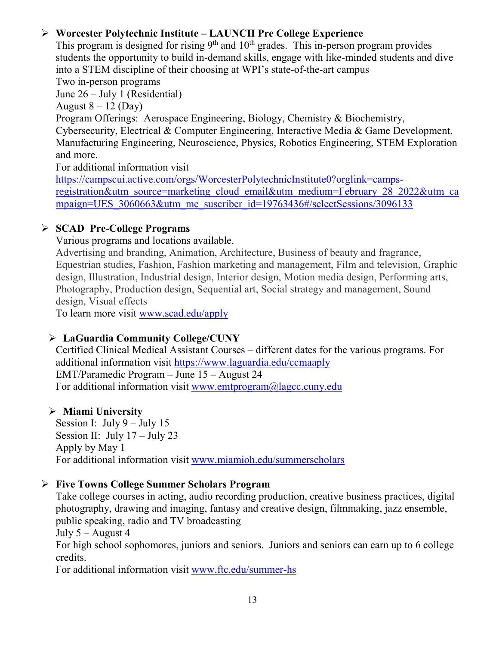# **Worcester Polytechnic Institute – LAUNCH Pre College Experience**

This program is designed for rising  $9<sup>th</sup>$  and  $10<sup>th</sup>$  grades. This in-person program provides students the opportunity to build in-demand skills, engage with like-minded students and dive into a STEM discipline of their choosing at WPI's state-of-the-art campus

Two in-person programs

June 26 – July 1 (Residential)

August  $8 - 12$  (Day)

Program Offerings: Aerospace Engineering, Biology, Chemistry & Biochemistry, Cybersecurity, Electrical & Computer Engineering, Interactive Media & Game Development, Manufacturing Engineering, Neuroscience, Physics, Robotics Engineering, STEM Exploration and more.

For additional information visit

[https://campscui.active.com/orgs/WorcesterPolytechnicInstitute0?orglink=camps](https://campscui.active.com/orgs/WorcesterPolytechnicInstitute0?orglink=camps-registration&utm_source=marketing_cloud_email&utm_medium=February_28_2022&utm_campaign=UES_3060663&utm_mc_suscriber_id=19763436#/selectSessions/3096133)[registration&utm\\_source=marketing\\_cloud\\_email&utm\\_medium=February\\_28\\_2022&utm\\_ca](https://campscui.active.com/orgs/WorcesterPolytechnicInstitute0?orglink=camps-registration&utm_source=marketing_cloud_email&utm_medium=February_28_2022&utm_campaign=UES_3060663&utm_mc_suscriber_id=19763436#/selectSessions/3096133) mpaign=UES 3060663&utm\_mc\_suscriber\_id=19763436#/selectSessions/3096133

# **SCAD Pre-College Programs**

Various programs and locations available.

Advertising and branding, Animation, Architecture, Business of beauty and fragrance, Equestrian studies, Fashion, Fashion marketing and management, Film and television, Graphic design, Illustration, Industrial design, Interior design, Motion media design, Performing arts, Photography, Production design, Sequential art, Social strategy and management, Sound design, Visual effects

To learn more visit [www.scad.edu/apply](http://www.scad.edu/apply)

# **LaGuardia Community College/CUNY**

Certified Clinical Medical Assistant Courses – different dates for the various programs. For additional information visit<https://www.laguardia.edu/ccmaaply> EMT/Paramedic Program – June 15 – August 24 For additional information visit [www.emtprogram@lagcc.cuny.edu](http://www.emtprogram@lagcc.cuny.edu)

# **Miami University**

Session I: July  $9 -$ July 15 Session II: July  $17 -$ July 23 Apply by May 1 For additional information visit [www.miamioh.edu/summerscholars](http://www.miamioh.edu/summerscholars)

# **Five Towns College Summer Scholars Program**

Take college courses in acting, audio recording production, creative business practices, digital photography, drawing and imaging, fantasy and creative design, filmmaking, jazz ensemble, public speaking, radio and TV broadcasting

July  $5 -$ August 4

For high school sophomores, juniors and seniors. Juniors and seniors can earn up to 6 college credits.

For additional information visit [www.ftc.edu/summer-hs](http://www.ftc.edu/summer-hs)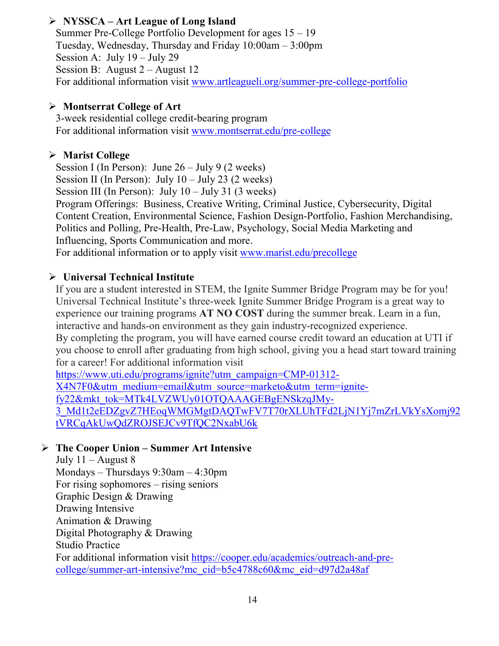# **NYSSCA – Art League of Long Island**

Summer Pre-College Portfolio Development for ages 15 – 19 Tuesday, Wednesday, Thursday and Friday 10:00am – 3:00pm Session A: July 19 – July 29 Session B: August 2 – August 12 For additional information visit [www.artleagueli.org/summer-pre-college-portfolio](http://www.artleagueli.org/summer-pre-college-portfolio)

#### **Montserrat College of Art**

3-week residential college credit-bearing program For additional information visit [www.montserrat.edu/pre-college](http://www.montserrat.edu/pre-college)

### **Marist College**

Session I (In Person): June  $26 -$  July 9 (2 weeks) Session II (In Person): July  $10 -$  July 23 (2 weeks) Session III (In Person): July  $10 -$  July 31 (3 weeks) Program Offerings: Business, Creative Writing, Criminal Justice, Cybersecurity, Digital Content Creation, Environmental Science, Fashion Design-Portfolio, Fashion Merchandising, Politics and Polling, Pre-Health, Pre-Law, Psychology, Social Media Marketing and Influencing, Sports Communication and more. For additional information or to apply visit [www.marist.edu/precollege](http://www.marist.edu/precollege)

#### **Universal Technical Institute**

If you are a student interested in STEM, the Ignite Summer Bridge Program may be for you! Universal Technical Institute's three-week Ignite Summer Bridge Program is a great way to experience our training programs **AT NO COST** during the summer break. Learn in a fun, interactive and hands-on environment as they gain industry-recognized experience. By completing the program, you will have earned course credit toward an education at UTI if you choose to enroll after graduating from high school, giving you a head start toward training for a career! For additional information visit [https://www.uti.edu/programs/ignite?utm\\_campaign=CMP-01312-](https://www.uti.edu/programs/ignite?utm_campaign=CMP-01312-X4N7F0&utm_medium=email&utm_source=marketo&utm_term=ignite-fy22&mkt_tok=MTk4LVZWUy01OTQAAAGEBgENSkzqJMy-3_Md1t2eEDZgvZ7HEoqWMGMgtDAQTwFV7T70rXLUhTFd2LjN1Yj7mZrLVkYsXomj92tVRCqAkUwQdZROJSEJCv9TfQC2NxabU6k) [X4N7F0&utm\\_medium=email&utm\\_source=marketo&utm\\_term=ignite-](https://www.uti.edu/programs/ignite?utm_campaign=CMP-01312-X4N7F0&utm_medium=email&utm_source=marketo&utm_term=ignite-fy22&mkt_tok=MTk4LVZWUy01OTQAAAGEBgENSkzqJMy-3_Md1t2eEDZgvZ7HEoqWMGMgtDAQTwFV7T70rXLUhTFd2LjN1Yj7mZrLVkYsXomj92tVRCqAkUwQdZROJSEJCv9TfQC2NxabU6k)

[fy22&mkt\\_tok=MTk4LVZWUy01OTQAAAGEBgENSkzqJMy-](https://www.uti.edu/programs/ignite?utm_campaign=CMP-01312-X4N7F0&utm_medium=email&utm_source=marketo&utm_term=ignite-fy22&mkt_tok=MTk4LVZWUy01OTQAAAGEBgENSkzqJMy-3_Md1t2eEDZgvZ7HEoqWMGMgtDAQTwFV7T70rXLUhTFd2LjN1Yj7mZrLVkYsXomj92tVRCqAkUwQdZROJSEJCv9TfQC2NxabU6k)[3\\_Md1t2eEDZgvZ7HEoqWMGMgtDAQTwFV7T70rXLUhTFd2LjN1Yj7mZrLVkYsXomj92](https://www.uti.edu/programs/ignite?utm_campaign=CMP-01312-X4N7F0&utm_medium=email&utm_source=marketo&utm_term=ignite-fy22&mkt_tok=MTk4LVZWUy01OTQAAAGEBgENSkzqJMy-3_Md1t2eEDZgvZ7HEoqWMGMgtDAQTwFV7T70rXLUhTFd2LjN1Yj7mZrLVkYsXomj92tVRCqAkUwQdZROJSEJCv9TfQC2NxabU6k) [tVRCqAkUwQdZROJSEJCv9TfQC2NxabU6k](https://www.uti.edu/programs/ignite?utm_campaign=CMP-01312-X4N7F0&utm_medium=email&utm_source=marketo&utm_term=ignite-fy22&mkt_tok=MTk4LVZWUy01OTQAAAGEBgENSkzqJMy-3_Md1t2eEDZgvZ7HEoqWMGMgtDAQTwFV7T70rXLUhTFd2LjN1Yj7mZrLVkYsXomj92tVRCqAkUwQdZROJSEJCv9TfQC2NxabU6k)

# **The Cooper Union – Summer Art Intensive**

July  $11 -$ August 8 Mondays – Thursdays 9:30am – 4:30pm For rising sophomores – rising seniors Graphic Design & Drawing Drawing Intensive Animation & Drawing Digital Photography & Drawing Studio Practice For additional information visit [https://cooper.edu/academics/outreach-and-pre](https://cooper.edu/academics/outreach-and-pre-college/summer-art-intensive?mc_cid=b5c4788c60&mc_eid=d97d2a48af)[college/summer-art-intensive?mc\\_cid=b5c4788c60&mc\\_eid=d97d2a48af](https://cooper.edu/academics/outreach-and-pre-college/summer-art-intensive?mc_cid=b5c4788c60&mc_eid=d97d2a48af)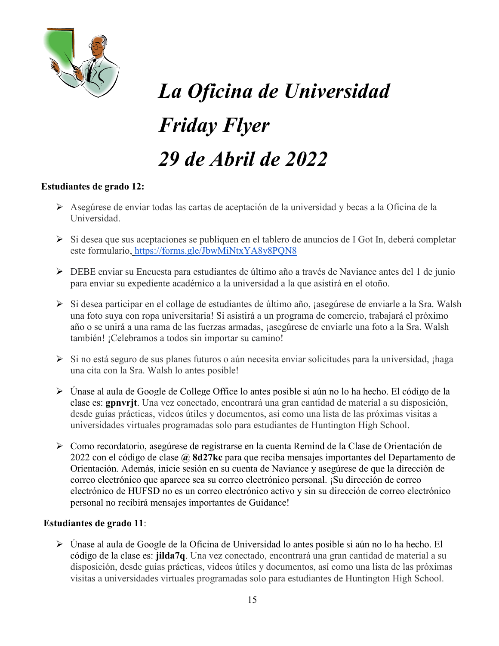

# *La Oficina de Universidad Friday Flyer 29 de Abril de 2022*

#### **Estudiantes de grado 12:**

- Asegúrese de enviar todas las cartas de aceptación de la universidad y becas a la Oficina de la Universidad.
- $\triangleright$  Si desea que sus aceptaciones se publiquen en el tablero de anuncios de I Got In, deberá completar este formulario, <https://forms.gle/JbwMiNtxYA8y8PQN8>
- DEBE enviar su Encuesta para estudiantes de último año a través de Naviance antes del 1 de junio para enviar su expediente académico a la universidad a la que asistirá en el otoño.
- ≻ Si desea participar en el collage de estudiantes de último año, ¡asegúrese de enviarle a la Sra. Walsh una foto suya con ropa universitaria! Si asistirá a un programa de comercio, trabajará el próximo año o se unirá a una rama de las fuerzas armadas, ¡asegúrese de enviarle una foto a la Sra. Walsh también! ¡Celebramos a todos sin importar su camino!
- $\triangleright$  Si no está seguro de sus planes futuros o aún necesita enviar solicitudes para la universidad, ¡haga una cita con la Sra. Walsh lo antes posible!
- Únase al aula de Google de College Office lo antes posible si aún no lo ha hecho. El código de la clase es: **gpnvrjt**. Una vez conectado, encontrará una gran cantidad de material a su disposición, desde guías prácticas, videos útiles y documentos, así como una lista de las próximas visitas a universidades virtuales programadas solo para estudiantes de Huntington High School.
- Como recordatorio, asegúrese de registrarse en la cuenta Remind de la Clase de Orientación de 2022 con el código de clase **@ 8d27kc** para que reciba mensajes importantes del Departamento de Orientación. Además, inicie sesión en su cuenta de Naviance y asegúrese de que la dirección de correo electrónico que aparece sea su correo electrónico personal. ¡Su dirección de correo electrónico de HUFSD no es un correo electrónico activo y sin su dirección de correo electrónico personal no recibirá mensajes importantes de Guidance!

#### **Estudiantes de grado 11**:

 Únase al aula de Google de la Oficina de Universidad lo antes posible si aún no lo ha hecho. El código de la clase es: **jilda7q**. Una vez conectado, encontrará una gran cantidad de material a su disposición, desde guías prácticas, videos útiles y documentos, así como una lista de las próximas visitas a universidades virtuales programadas solo para estudiantes de Huntington High School.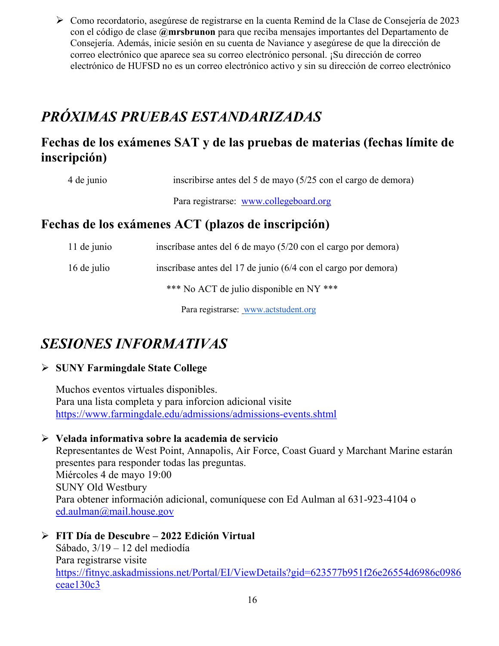Como recordatorio, asegúrese de registrarse en la cuenta Remind de la Clase de Consejería de 2023 con el código de clase **@mrsbrunon** para que reciba mensajes importantes del Departamento de Consejería. Además, inicie sesión en su cuenta de Naviance y asegúrese de que la dirección de correo electrónico que aparece sea su correo electrónico personal. ¡Su dirección de correo electrónico de HUFSD no es un correo electrónico activo y sin su dirección de correo electrónico

# *PRÓXIMAS PRUEBAS ESTANDARIZADAS*

# **Fechas de los exámenes SAT y de las pruebas de materias (fechas límite de inscripción)**

| 4 de junio | inscribirse antes del 5 de mayo (5/25 con el cargo de demora) |  |
|------------|---------------------------------------------------------------|--|
|------------|---------------------------------------------------------------|--|

Para registrarse: [www.collegeboard.org](http://www.collegeboard.org/)

# **Fechas de los exámenes ACT (plazos de inscripción)**

| 11 de junio                              | inscríbase antes del 6 de mayo (5/20 con el cargo por demora)  |
|------------------------------------------|----------------------------------------------------------------|
| 16 de julio                              | inscríbase antes del 17 de junio (6/4 con el cargo por demora) |
| *** No ACT de julio disponible en NY *** |                                                                |
|                                          |                                                                |

Para registrarse: [www.actstudent.org](http://www.actstudent.org/)

# *SESIONES INFORMATIVAS*

# **SUNY Farmingdale State College**

Muchos eventos virtuales disponibles. Para una lista completa y para inforcion adicional visite <https://www.farmingdale.edu/admissions/admissions-events.shtml>

# **Velada informativa sobre la academia de servicio**

Representantes de West Point, Annapolis, Air Force, Coast Guard y Marchant Marine estarán presentes para responder todas las preguntas. Miércoles 4 de mayo 19:00 SUNY Old Westbury Para obtener información adicional, comuníquese con Ed Aulman al 631-923-4104 o [ed.aulman@mail.house.gov](mailto:ed.aulman@mail.house.gov)

# **FIT Día de Descubre – 2022 Edición Virtual**

Sábado, 3/19 – 12 del mediodía Para registrarse visite [https://fitnyc.askadmissions.net/Portal/EI/ViewDetails?gid=623577b951f26e26554d6986c0986](https://fitnyc.askadmissions.net/Portal/EI/ViewDetails?gid=623577b951f26e26554d6986c0986ceae130c3) [ceae130c3](https://fitnyc.askadmissions.net/Portal/EI/ViewDetails?gid=623577b951f26e26554d6986c0986ceae130c3)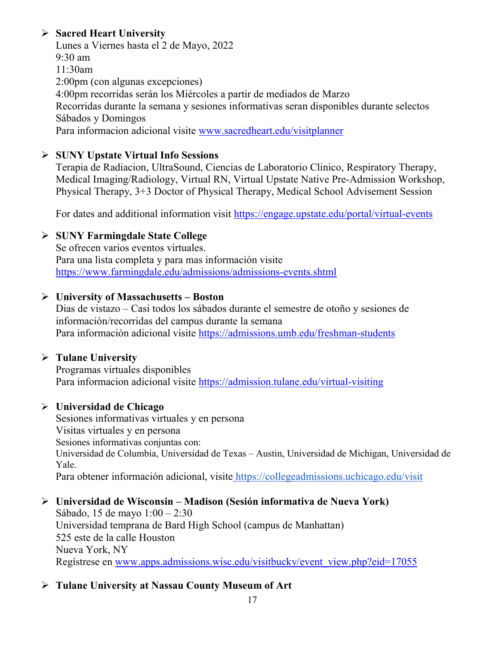# **Sacred Heart University**

Lunes a Viernes hasta el 2 de Mayo, 2022 9:30 am 11:30am 2:00pm (con algunas excepciones) 4:00pm recorridas serán los Miércoles a partir de mediados de Marzo Recorridas durante la semana y sesiones informativas seran disponibles durante selectos Sábados y Domingos Para informacion adicional visite [www.sacredheart.edu/visitplanner](http://www.sacredheart.edu/visitplanner)

#### **SUNY Upstate Virtual Info Sessions**

Terapia de Radiacion, UltraSound, Ciencias de Laboratorio Clinico, Respiratory Therapy, Medical Imaging/Radiology, Virtual RN, Virtual Upstate Native Pre-Admission Workshop, Physical Therapy, 3+3 Doctor of Physical Therapy, Medical School Advisement Session

For dates and additional information visit<https://engage.upstate.edu/portal/virtual-events>

#### **SUNY Farmingdale State College**

Se ofrecen varios eventos virtuales. Para una lista completa y para mas información visite <https://www.farmingdale.edu/admissions/admissions-events.shtml>

#### **University of Massachusetts – Boston**

Dias de vistazo – Casi todos los sábados durante el semestre de otoño y sesiones de información/recorridas del campus durante la semana Para información adicional visite<https://admissions.umb.edu/freshman-students>

#### **Tulane University**

Programas virtuales disponibles Para informacion adicional visite<https://admission.tulane.edu/virtual-visiting>

#### **Universidad de Chicago**

Sesiones informativas virtuales y en persona Visitas virtuales y en persona Sesiones informativas conjuntas con: Universidad de Columbia, Universidad de Texas – Austin, Universidad de Michigan, Universidad de Yale. Para obtener información adicional, visite <https://collegeadmissions.uchicago.edu/visit>

- **Universidad de Wisconsin – Madison (Sesión informativa de Nueva York)** Sábado, 15 de mayo 1:00 – 2:30 Universidad temprana de Bard High School (campus de Manhattan) 525 este de la calle Houston Nueva York, NY Regístrese en [www.apps.admissions.wisc.edu/visitbucky/event\\_view.php?eid=17055](http://www.apps.admissions.wisc.edu/visitbucky/event_view.php?eid=17055)
- **Tulane University at Nassau County Museum of Art**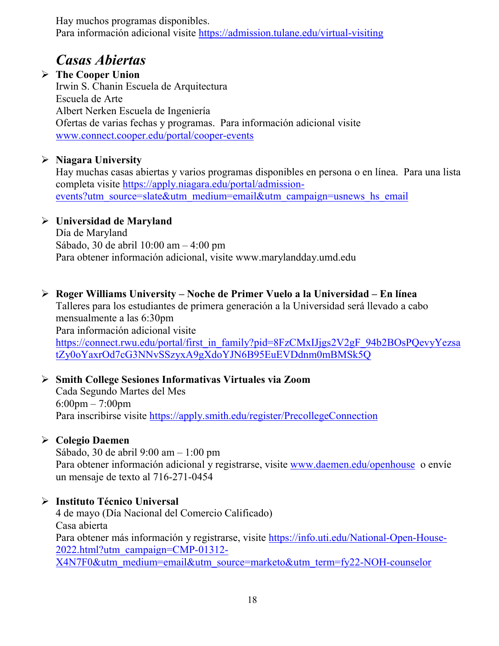Hay muchos programas disponibles. Para información adicional visite <https://admission.tulane.edu/virtual-visiting>

# *Casas Abiertas*

 **The Cooper Union** Irwin S. Chanin Escuela de Arquitectura Escuela de Arte Albert Nerken Escuela de Ingeniería Ofertas de varias fechas y programas. Para información adicional visite [www.connect.cooper.edu/portal/cooper-events](http://www.connect.cooper.edu/portal/cooper-events)

# **Niagara University**

Hay muchas casas abiertas y varios programas disponibles en persona o en línea. Para una lista completa visite [https://apply.niagara.edu/portal/admission](https://apply.niagara.edu/portal/admission-events?utm_source=slate&utm_medium=email&utm_campaign=usnews_hs_email)[events?utm\\_source=slate&utm\\_medium=email&utm\\_campaign=usnews\\_hs\\_email](https://apply.niagara.edu/portal/admission-events?utm_source=slate&utm_medium=email&utm_campaign=usnews_hs_email)

# **Universidad de Maryland**

Día de Maryland Sábado, 30 de abril 10:00 am – 4:00 pm Para obtener información adicional, visite www.marylandday.umd.edu

# **Roger Williams University – Noche de Primer Vuelo a la Universidad – En línea**

Talleres para los estudiantes de primera generación a la Universidad será llevado a cabo mensualmente a las 6:30pm Para información adicional visite [https://connect.rwu.edu/portal/first\\_in\\_family?pid=8FzCMxIJjgs2V2gF\\_94b2BOsPQevyYezsa](https://connect.rwu.edu/portal/first_in_family?pid=8FzCMxIJjgs2V2gF_94b2BOsPQevyYezsatZy0oYaxrOd7cG3NNvSSzyxA9gXdoYJN6B95EuEVDdnm0mBMSk5Q) [tZy0oYaxrOd7cG3NNvSSzyxA9gXdoYJN6B95EuEVDdnm0mBMSk5Q](https://connect.rwu.edu/portal/first_in_family?pid=8FzCMxIJjgs2V2gF_94b2BOsPQevyYezsatZy0oYaxrOd7cG3NNvSSzyxA9gXdoYJN6B95EuEVDdnm0mBMSk5Q)

#### **Smith College Sesiones Informativas Virtuales via Zoom** Cada Segundo Martes del Mes 6:00pm – 7:00pm Para inscribirse visite<https://apply.smith.edu/register/PrecollegeConnection>

# **Colegio Daemen**

Sábado, 30 de abril 9:00 am – 1:00 pm Para obtener información adicional y registrarse, visite [www.daemen.edu/openhouse](http://www.daemen.edu/openhouse) o envíe un mensaje de texto al 716-271-0454

# **Instituto Técnico Universal**

4 de mayo (Día Nacional del Comercio Calificado) Casa abierta Para obtener más información y registrarse, visite [https://info.uti.edu/National-Open-House-](https://info.uti.edu/National-Open-House-2022.html?utm_campaign=CMP-01312-X4N7F0&utm_medium=email&utm_source=marketo&utm_term=fy22-NOH-counselor)[2022.html?utm\\_campaign=CMP-01312-](https://info.uti.edu/National-Open-House-2022.html?utm_campaign=CMP-01312-X4N7F0&utm_medium=email&utm_source=marketo&utm_term=fy22-NOH-counselor) [X4N7F0&utm\\_medium=email&utm\\_source=marketo&utm\\_term=fy22-NOH-counselor](https://info.uti.edu/National-Open-House-2022.html?utm_campaign=CMP-01312-X4N7F0&utm_medium=email&utm_source=marketo&utm_term=fy22-NOH-counselor)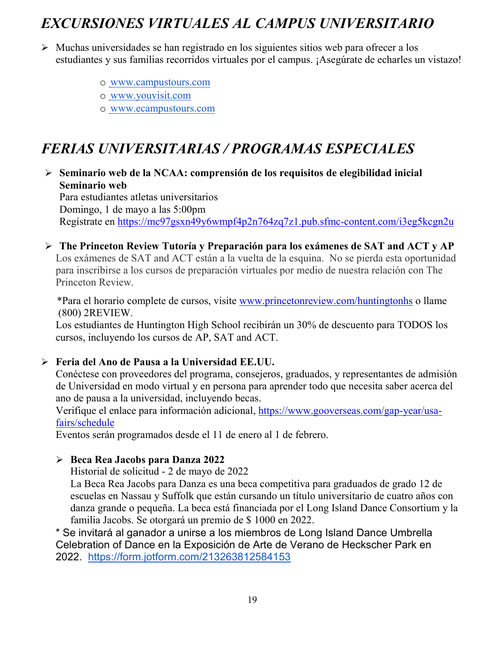# *EXCURSIONES VIRTUALES AL CAMPUS UNIVERSITARIO*

- $\triangleright$  Muchas universidades se han registrado en los siguientes sitios web para ofrecer a los estudiantes y sus familias recorridos virtuales por el campus. ¡Asegúrate de echarles un vistazo!
	- o [www.campustours.com](http://www.campustours.com/)
	- o [www.youvisit.com](http://www.youvisit.com/)
	- o [www.ecampustours.com](http://www.ecampustours.com/)

# *FERIAS UNIVERSITARIAS / PROGRAMAS ESPECIALES*

 **Seminario web de la NCAA: comprensión de los requisitos de elegibilidad inicial Seminario web**

Para estudiantes atletas universitarios Domingo, 1 de mayo a las 5:00pm Regístrate en<https://mc97gsxn49y6wmpf4p2n764zq7z1.pub.sfmc-content.com/i3eg5kcgn2u>

 **The Princeton Review Tutoría y Preparación para los exámenes de SAT and ACT y AP**  Los exámenes de SAT and ACT están a la vuelta de la esquina. No se pierda esta oportunidad para inscribirse a los cursos de preparación virtuales por medio de nuestra relación con The Princeton Review.

 \*Para el horario complete de cursos, visite [www.princetonreview.com/huntingtonhs](http://www.princetonreview.com/huntingtonhs) o llame (800) 2REVIEW.

Los estudiantes de Huntington High School recibirán un 30% de descuento para TODOS los cursos, incluyendo los cursos de AP, SAT and ACT.

# **Feria del Ano de Pausa a la Universidad EE.UU.**

Conéctese con proveedores del programa, consejeros, graduados, y representantes de admisión de Universidad en modo virtual y en persona para aprender todo que necesita saber acerca del ano de pausa a la universidad, incluyendo becas.

Verifique el enlace para información adicional, [https://www.gooverseas.com/gap-year/usa](https://www.gooverseas.com/gap-year/usa-fairs/schedule)[fairs/schedule](https://www.gooverseas.com/gap-year/usa-fairs/schedule)

Eventos serán programados desde el 11 de enero al 1 de febrero.

# **Beca Rea Jacobs para Danza 2022**

Historial de solicitud - 2 de mayo de 2022

La Beca Rea Jacobs para Danza es una beca competitiva para graduados de grado 12 de escuelas en Nassau y Suffolk que están cursando un título universitario de cuatro años con danza grande o pequeña. La beca está financiada por el Long Island Dance Consortium y la familia Jacobs. Se otorgará un premio de \$ 1000 en 2022.

\* Se invitará al ganador a unirse a los miembros de Long Island Dance Umbrella Celebration of Dance en la Exposición de Arte de Verano de Heckscher Park en 2022. <https://form.jotform.com/213263812584153>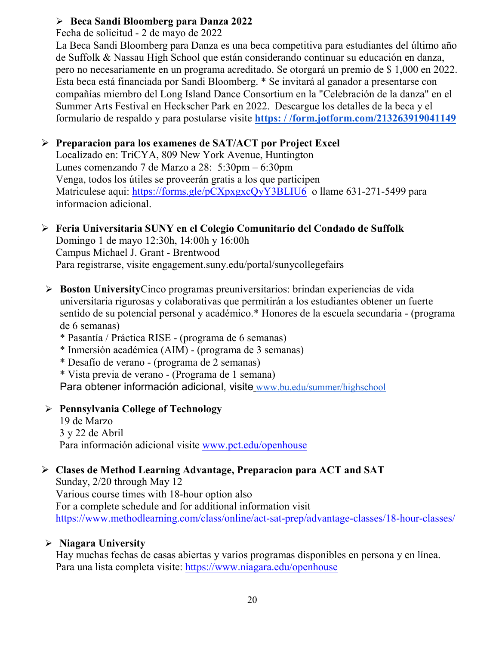#### **Beca Sandi Bloomberg para Danza 2022**

Fecha de solicitud - 2 de mayo de 2022

La Beca Sandi Bloomberg para Danza es una beca competitiva para estudiantes del último año de Suffolk & Nassau High School que están considerando continuar su educación en danza, pero no necesariamente en un programa acreditado. Se otorgará un premio de \$ 1,000 en 2022. Esta beca está financiada por Sandi Bloomberg. \* Se invitará al ganador a presentarse con compañías miembro del Long Island Dance Consortium en la "Celebración de la danza" en el Summer Arts Festival en Heckscher Park en 2022. Descargue los detalles de la beca y el formulario de respaldo y para postularse visite **[https: / /form.jotform.com/213263919041149](https://form.jotform.com/213263919041149)**

# **Preparacion para los examenes de SAT/ACT por Project Excel**

Localizado en: TriCYA, 809 New York Avenue, Huntington Lunes comenzando 7 de Marzo a 28: 5:30pm – 6:30pm Venga, todos los útiles se proveerán gratis a los que participen Matriculese aqui:<https://forms.gle/pCXpxgxcQyY3BLIU6>o llame 631-271-5499 para informacion adicional.

# **Feria Universitaria SUNY en el Colegio Comunitario del Condado de Suffolk**

Domingo 1 de mayo 12:30h, 14:00h y 16:00h Campus Michael J. Grant - Brentwood Para registrarse, visite engagement.suny.edu/portal/sunycollegefairs

- **Boston University**Cinco programas preuniversitarios: brindan experiencias de vida universitaria rigurosas y colaborativas que permitirán a los estudiantes obtener un fuerte sentido de su potencial personal y académico.\* Honores de la escuela secundaria - (programa de 6 semanas)
	- \* Pasantía / Práctica RISE (programa de 6 semanas)
	- \* Inmersión académica (AIM) (programa de 3 semanas)
	- \* Desafío de verano (programa de 2 semanas)
	- \* Vista previa de verano (Programa de 1 semana)

Para obtener información adicional, visite [www.bu.edu/summer/highschool](http://www.bu.edu/summer/highschool)

# **Pennsylvania College of Technology**

19 de Marzo 3 y 22 de Abril Para información adicional visite [www.pct.edu/openhouse](http://www.pct.edu/openhouse)

# **Clases de Method Learning Advantage, Preparacion para ACT and SAT**

Sunday, 2/20 through May 12 Various course times with 18-hour option also For a complete schedule and for additional information visit <https://www.methodlearning.com/class/online/act-sat-prep/advantage-classes/18-hour-classes/>

# **Niagara University**

Hay muchas fechas de casas abiertas y varios programas disponibles en persona y en línea. Para una lista completa visite:<https://www.niagara.edu/openhouse>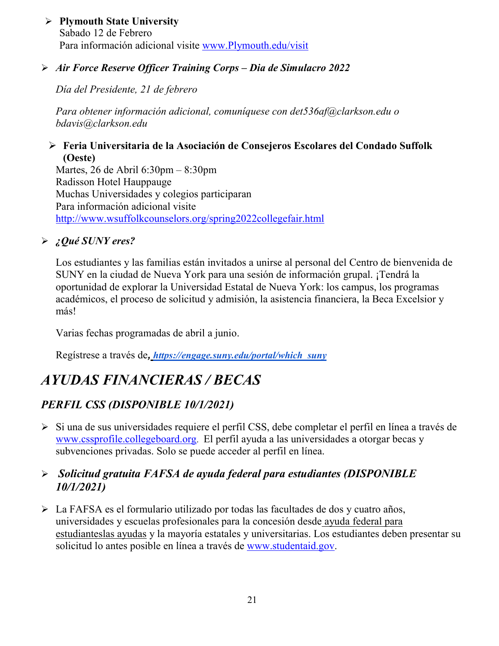#### **Plymouth State University** Sabado 12 de Febrero Para información adicional visite [www.Plymouth.edu/visit](http://www.plymouth.edu/visit)

### *Air Force Reserve Officer Training Corps – Dia de Simulacro 2022*

*Día del Presidente, 21 de febrero*

*Para obtener información adicional, comuníquese con det536af@clarkson.edu o bdavis@clarkson.edu*

#### **Feria Universitaria de la Asociación de Consejeros Escolares del Condado Suffolk (Oeste)**

Martes, 26 de Abril 6:30pm – 8:30pm Radisson Hotel Hauppauge Muchas Universidades y colegios participaran Para información adicional visite <http://www.wsuffolkcounselors.org/spring2022collegefair.html>

# *¿Qué SUNY eres?*

Los estudiantes y las familias están invitados a unirse al personal del Centro de bienvenida de SUNY en la ciudad de Nueva York para una sesión de información grupal. ¡Tendrá la oportunidad de explorar la Universidad Estatal de Nueva York: los campus, los programas académicos, el proceso de solicitud y admisión, la asistencia financiera, la Beca Excelsior y más!

Varias fechas programadas de abril a junio.

Regístrese a través de*, [https://engage.suny.edu/portal/which\\_suny](https://engage.suny.edu/portal/which_suny)*

# *AYUDAS FINANCIERAS / BECAS*

# *PERFIL CSS (DISPONIBLE 10/1/2021)*

 Si una de sus universidades requiere el perfil CSS, debe completar el perfil en línea a través d[e](http://www.collegeboard.org/) [www.cssprofile.collegeboard.org.](http://www.collegeboard.org/) El perfil ayuda a las universidades a otorgar becas y subvenciones privadas. Solo se puede acceder al perfil en línea.

# *Solicitud gratuita FAFSA de ayuda federal para estudiantes (DISPONIBLE 10/1/2021)*

 La FAFSA es el formulario utilizado por todas las facultades de dos y cuatro años, universidades y escuelas profesionales para la concesión desde [ayuda federal para](http://studentaid.ed.gov/students/publications/student_guide/2010-2011/english/typesofFSA_grants.htm)  [estudianteslas ayudas](http://studentaid.ed.gov/students/publications/student_guide/2010-2011/english/typesofFSA_grants.htm) y la mayoría estatales y universitarias. Los estudiantes deben presentar su solicitud lo antes posible en línea a través de [www.studentaid.gov.](http://www.studentaid.gov/)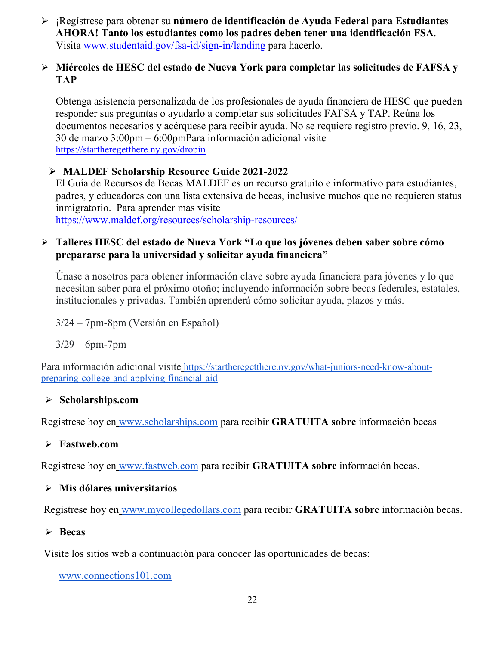¡Regístrese para obtener su **número de identificación de Ayuda Federal para Estudiantes AHORA! Tanto los estudiantes como los padres deben tener una identificación FSA**. Visita [www.studentaid.gov/fsa-id/sign-in/landing](http://www.studentaid.gov/fsa-id/sign-in/landing) para hacerlo.

#### **Miércoles de HESC del estado de Nueva York para completar las solicitudes de FAFSA y TAP**

Obtenga asistencia personalizada de los profesionales de ayuda financiera de HESC que pueden responder sus preguntas o ayudarlo a completar sus solicitudes FAFSA y TAP. Reúna los documentos necesarios y acérquese para recibir ayuda. No se requiere registro previo. 9, 16, 23, 30 de marzo 3:00pm – 6:00pmPara información adicional visite <https://startheregetthere.ny.gov/dropin>

#### **MALDEF Scholarship Resource Guide 2021-2022**

El Guía de Recursos de Becas MALDEF es un recurso gratuito e informativo para estudiantes, padres, y educadores con una lista extensiva de becas, inclusive muchos que no requieren status inmigratorio. Para aprender mas visite <https://www.maldef.org/resources/scholarship-resources/>

#### **Talleres HESC del estado de Nueva York "Lo que los jóvenes deben saber sobre cómo prepararse para la universidad y solicitar ayuda financiera"**

Únase a nosotros para obtener información clave sobre ayuda financiera para jóvenes y lo que necesitan saber para el próximo otoño; incluyendo información sobre becas federales, estatales, institucionales y privadas. También aprenderá cómo solicitar ayuda, plazos y más.

3/24 – 7pm-8pm (Versión en Español)

3/29 – 6pm-7pm

Para información adicional visite [https://startheregetthere.ny.gov/what-juniors-need-know-about](https://startheregetthere.ny.gov/what-juniors-need-know-about-preparing-college-and-applying-financial-aid)[preparing-college-and-applying-financial-aid](https://startheregetthere.ny.gov/what-juniors-need-know-about-preparing-college-and-applying-financial-aid)

#### **Scholarships.com**

Regístrese hoy en [www.scholarships.com](http://www.scholarships.com/) para recibir **GRATUITA sobre** información becas

# **Fastweb.com**

Regístrese hoy en [www.fastweb.com](http://www.fastweb.com/) para recibir **GRATUITA sobre** información becas.

#### **Mis dólares universitarios**

Regístrese hoy en [www.mycollegedollars.com](http://www.mycollegedollars.com/) para recibir **GRATUITA sobre** información becas.

#### **Becas**

Visite los sitios web a continuación para conocer las oportunidades de becas:

[www.connections101.com](http://www.connections101.com/)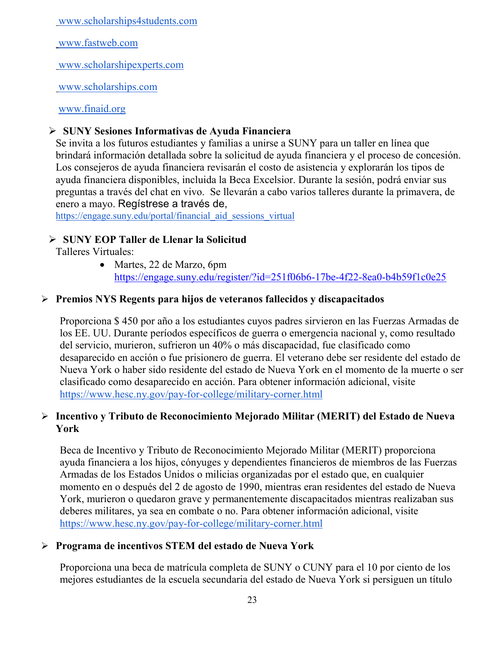[www.scholarships4students.com](http://www.scholarships4students.com/)

[www.fastweb.com](http://www.fastweb.com/)

[www.scholarshipexperts.com](http://www.scholarshipexperts.com/)

[www.scholarships.com](http://www.scholarships.com/)

[www.finaid.org](http://www.finaid.org/)

# **SUNY Sesiones Informativas de Ayuda Financiera**

Se invita a los futuros estudiantes y familias a unirse a SUNY para un taller en línea que brindará información detallada sobre la solicitud de ayuda financiera y el proceso de concesión. Los consejeros de ayuda financiera revisarán el costo de asistencia y explorarán los tipos de ayuda financiera disponibles, incluida la Beca Excelsior. Durante la sesión, podrá enviar sus preguntas a través del chat en vivo. Se [llevarán a cabo varios talleres durante la primavera, de](https://engage.suny.edu/portal/financial_aid_sessions_virtual)  enero a mayo. Regístrese a través de,

[https://engage.suny.edu/portal/financial\\_aid\\_sessions\\_virtual](https://engage.suny.edu/portal/financial_aid_sessions_virtual)

# **SUNY EOP Taller de Llenar la Solicitud**

Talleres Virtuales:

• Martes, 22 de Marzo, 6pm <https://engage.suny.edu/register/?id=251f06b6-17be-4f22-8ea0-b4b59f1c0e25>

# **Premios NYS Regents para hijos de veteranos fallecidos y discapacitados**

Proporciona \$ 450 por año a los estudiantes cuyos padres sirvieron en las Fuerzas Armadas de los EE. UU. Durante períodos específicos de guerra o emergencia nacional y, como resultado del servicio, murieron, sufrieron un 40% o más discapacidad, fue clasificado como desaparecido en acción o fue prisionero de guerra. El veterano debe ser residente del estado de Nueva York o haber sido residente del estado de Nueva York en el momento de la muerte o ser clasificado como desaparecido en acción. Para obtener información adicional, visit[e](https://www.hesc.ny.gov/pay-for-college/military-corner.html) <https://www.hesc.ny.gov/pay-for-college/military-corner.html>

# **Incentivo y Tributo de Reconocimiento Mejorado Militar (MERIT) del Estado de Nueva York**

Beca de Incentivo y Tributo de Reconocimiento Mejorado Militar (MERIT) proporciona ayuda financiera a los hijos, cónyuges y dependientes financieros de miembros de las Fuerzas Armadas de los Estados Unidos o milicias organizadas por el estado que, en cualquier momento en o después del 2 de agosto de 1990, mientras eran residentes del estado de Nueva York, murieron o quedaron grave y permanentemente discapacitados mientras realizaban sus deberes militares, ya sea en combate o no. Para obtener información adicional, visit[e](https://www.hesc.ny.gov/pay-for-college/military-corner.html) <https://www.hesc.ny.gov/pay-for-college/military-corner.html>

# **Programa de incentivos STEM del estado de Nueva York**

Proporciona una beca de matrícula completa de SUNY o CUNY para el 10 por ciento de los mejores estudiantes de la escuela secundaria del estado de Nueva York si persiguen un título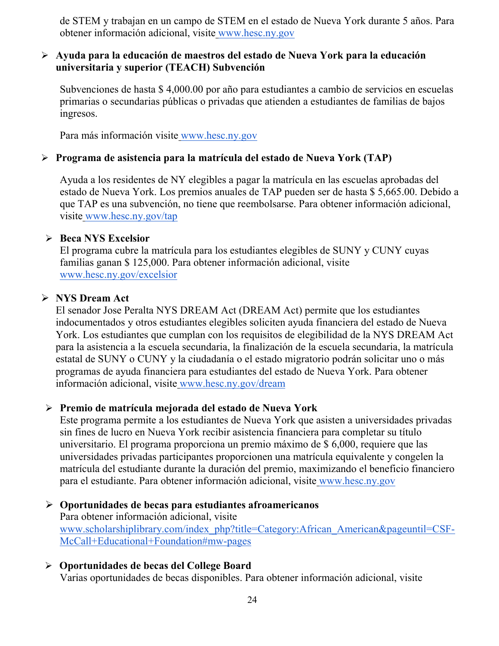de STEM y trabajan en un campo de STEM en el estado de Nueva York durante 5 años. Para obtener información adicional, visite [www.hesc.ny.gov](http://www.hesc.ny.gov/)

#### **Ayuda para la educación de maestros del estado de Nueva York para la educación universitaria y superior (TEACH) Subvención**

Subvenciones de hasta \$ 4,000.00 por año para estudiantes a cambio de servicios en escuelas primarias o secundarias públicas o privadas que atienden a estudiantes de familias de bajos ingresos.

Para más información visite [www.hesc.ny.gov](http://www.hesc.ny.gov/) 

#### **Programa de asistencia para la matrícula del estado de Nueva York (TAP)**

Ayuda a los residentes de NY elegibles a pagar la matrícula en las escuelas aprobadas del estado de Nueva York. Los premios anuales de TAP pueden ser de hasta \$ 5,665.00. Debido a que TAP es una subvención, no tiene que reembolsarse. Para obtener información adicional, visite [www.hesc.ny.gov/tap](http://www.hesc.ny.gov/tap)

#### **Beca NYS Excelsior**

El programa cubre la matrícula para los estudiantes elegibles de SUNY y CUNY cuyas familias ganan \$ 125,000. Para obtener información adicional, visit[e](http://www.hesc.ny.gov/) [www.hesc.ny.gov/](http://www.hesc.ny.gov/)excelsior

#### **NYS Dream Act**

El senador Jose Peralta NYS DREAM Act (DREAM Act) permite que los estudiantes indocumentados y otros estudiantes elegibles soliciten ayuda financiera del estado de Nueva York. Los estudiantes que cumplan con los requisitos de elegibilidad de la NYS DREAM Act para la asistencia a la escuela secundaria, la finalización de la escuela secundaria, la matrícula estatal de SUNY o CUNY y la ciudadanía o el estado migratorio podrán solicitar uno o más programas de ayuda financiera para estudiantes del estado de Nueva York. Para obtener información adicional, visite [www.hesc.ny.gov/dream](http://www.hesc.ny.gov/dream)

#### **Premio de matrícula mejorada del estado de Nueva York**

Este programa permite a los estudiantes de Nueva York que asisten a universidades privadas sin fines de lucro en Nueva York recibir asistencia financiera para completar su título universitario. El programa proporciona un premio máximo de \$ 6,000, requiere que las universidades privadas participantes proporcionen una matrícula equivalente y congelen la matrícula del estudiante durante la duración del premio, maximizando el beneficio financiero para el estudiante. Para obtener información adicional, visite [www.hesc.ny.gov](http://www.hesc.ny.gov/)

#### **Oportunidades de becas para estudiantes afroamericanos** Para obtener información adicional, visit[e](http://www.scholarshiplibrary.com/index_php?title=Category:African_American&pageuntil=CSF-McCall+Educational+Foundation#mw-pages) [www.scholarshiplibrary.com/index\\_php?title=Category:African\\_American&pageuntil=CSF-](http://www.scholarshiplibrary.com/index_php?title=Category:African_American&pageuntil=CSF-McCall+Educational+Foundation#mw-pages)[McCall+Educational+Foundation#mw-pages](http://www.scholarshiplibrary.com/index_php?title=Category:African_American&pageuntil=CSF-McCall+Educational+Foundation#mw-pages)

#### **Oportunidades de becas del College Board**

Varias oportunidades de becas disponibles. Para obtener información adicional, visite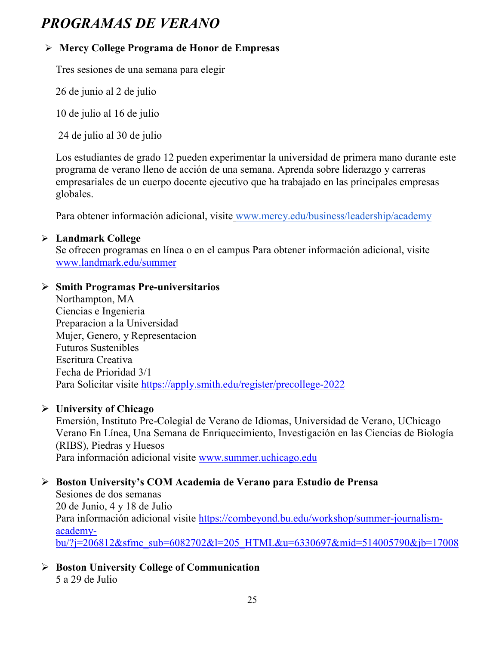# *PROGRAMAS DE VERANO*

# **Mercy College Programa de Honor de Empresas**

Tres sesiones de una semana para elegir

26 de junio al 2 de julio

10 de julio al 16 de julio

24 de julio al 30 de julio

Los estudiantes de grado 12 pueden experimentar la universidad de primera mano durante este programa de verano lleno de acción de una semana. Aprenda sobre liderazgo y carreras empresariales de un cuerpo docente ejecutivo que ha trabajado en las principales empresas globales.

Para obtener información adicional, visite [www.mercy.edu/business/leadership/academy](http://www.mercy.edu/business/leadership/academy)

#### **Landmark College**

Se ofrecen programas en línea o en el campus Para obtener información adicional, visite www.landmark.edu/summer

#### **Smith Programas Pre-universitarios**

Northampton, MA Ciencias e Ingenieria Preparacion a la Universidad Mujer, Genero, y Representacion Futuros Sustenibles Escritura Creativa Fecha de Prioridad 3/1 Para Solicitar visite<https://apply.smith.edu/register/precollege-2022>

#### **University of Chicago**

Emersión, Instituto Pre-Colegial de Verano de Idiomas, Universidad de Verano, UChicago Verano En Línea, Una Semana de Enriquecimiento, Investigación en las Ciencias de Biología (RIBS), Piedras y Huesos Para información adicional visite [www.summer.uchicago.edu](http://www.summer.uchicago.edu/)

# **Boston University's COM Academia de Verano para Estudio de Prensa**

Sesiones de dos semanas 20 de Junio, 4 y 18 de Julio Para información adicional visite [https://combeyond.bu.edu/workshop/summer-journalism](https://combeyond.bu.edu/workshop/summer-journalism-academy-bu/?j=206812&sfmc_sub=6082702&l=205_HTML&u=6330697&mid=514005790&jb=17008)[academy](https://combeyond.bu.edu/workshop/summer-journalism-academy-bu/?j=206812&sfmc_sub=6082702&l=205_HTML&u=6330697&mid=514005790&jb=17008)[bu/?j=206812&sfmc\\_sub=6082702&l=205\\_HTML&u=6330697&mid=514005790&jb=17008](https://combeyond.bu.edu/workshop/summer-journalism-academy-bu/?j=206812&sfmc_sub=6082702&l=205_HTML&u=6330697&mid=514005790&jb=17008)

 **Boston University College of Communication** 5 a 29 de Julio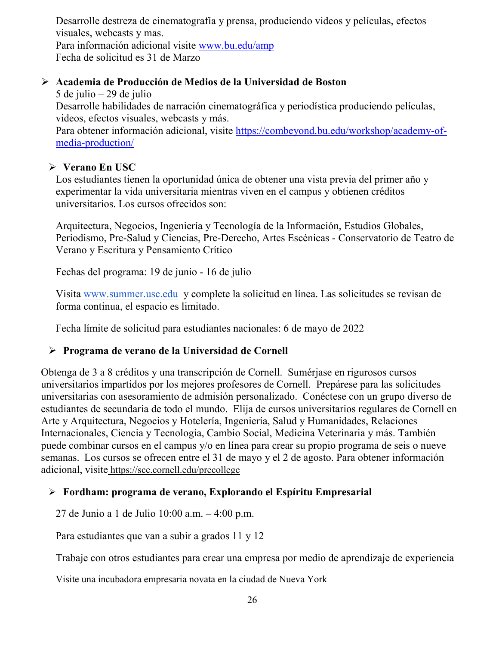Desarrolle destreza de cinematografía y prensa, produciendo videos y películas, efectos visuales, webcasts y mas. Para información adicional visite [www.bu.edu/amp](http://www.bu.edu/amp) Fecha de solicitud es 31 de Marzo

#### **Academia de Producción de Medios de la Universidad de Boston**

5 de julio – 29 de julio Desarrolle habilidades de narración cinematográfica y periodística produciendo películas, videos, efectos visuales, webcasts y más.

Para obtener información adicional, visite [https://combeyond.bu.edu/workshop/academy-of](https://combeyond.bu.edu/workshop/academy-of-media-production/)[media-production/](https://combeyond.bu.edu/workshop/academy-of-media-production/)

#### **Verano En USC**

Los estudiantes tienen la oportunidad única de obtener una vista previa del primer año y experimentar la vida universitaria mientras viven en el campus y obtienen créditos universitarios. Los cursos ofrecidos son:

Arquitectura, Negocios, Ingeniería y Tecnología de la Información, Estudios Globales, Periodismo, Pre-Salud y Ciencias, Pre-Derecho, Artes Escénicas - Conservatorio de Teatro de Verano y Escritura y Pensamiento Crítico

Fechas del programa: 19 de junio - 16 de julio

Visita [www.summer.usc.edu](http://www.summer.usc.edu/) y complete la solicitud en línea. Las solicitudes se revisan de forma continua, el espacio es limitado.

Fecha límite de solicitud para estudiantes nacionales: 6 de mayo de 2022

# **Programa de verano de la Universidad de Cornell**

Obtenga de 3 a 8 créditos y una transcripción de Cornell. Sumérjase en rigurosos cursos universitarios impartidos por los mejores profesores de Cornell. Prepárese para las solicitudes universitarias con asesoramiento de admisión personalizado. Conéctese con un grupo diverso de estudiantes de secundaria de todo el mundo. Elija de cursos universitarios regulares de Cornell en Arte y Arquitectura, Negocios y Hotelería, Ingeniería, Salud y Humanidades, Relaciones Internacionales, Ciencia y Tecnología, Cambio Social, Medicina Veterinaria y más. También puede combinar cursos en el campus y/o en línea para crear su propio programa de seis o nueve semanas. Los cursos se ofrecen entre el 31 de mayo y el 2 de agosto. Para obtener información adicional, visite <https://sce.cornell.edu/precollege>

# **Fordham: programa de verano, Explorando el Espíritu Empresarial**

27 de Junio a 1 de Julio 10:00 a.m. – 4:00 p.m.

Para estudiantes que van a subir a grados 11 y 12

Trabaje con otros estudiantes para crear una empresa por medio de aprendizaje de experiencia

Visite una incubadora empresaria novata en la ciudad de Nueva York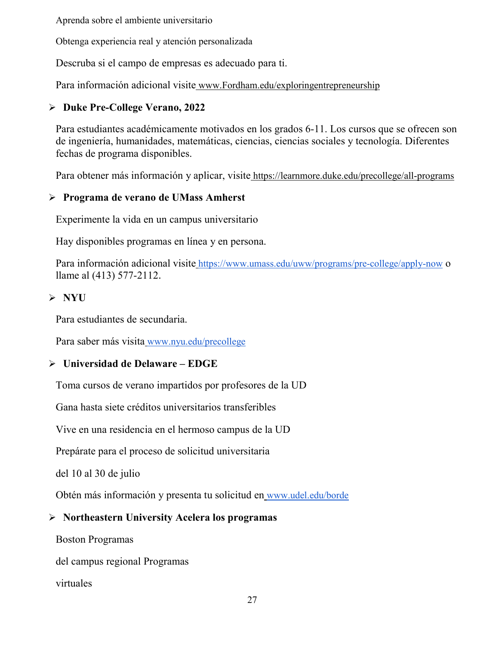Aprenda sobre el ambiente universitario

Obtenga experiencia real y atención personalizada

Descruba si el campo de empresas es adecuado para ti.

Para información adicional visite [www.Fordham.edu/exploringentrepreneurship](http://www.fordham.edu/exploringentrepreneurship)

#### **Duke Pre-College Verano, 2022**

Para estudiantes académicamente motivados en los grados 6-11. Los cursos que se ofrecen son de ingeniería, humanidades, matemáticas, ciencias, ciencias sociales y tecnología. Diferentes fechas de programa disponibles.

Para obtener más información y aplicar, visite <https://learnmore.duke.edu/precollege/all-programs>

#### **Programa de verano de UMass Amherst**

Experimente la vida en un campus universitario

Hay disponibles programas en línea y en persona.

Para información adicional visite <https://www.umass.edu/uww/programs/pre-college/apply-now> o llame al (413) 577-2112.

#### **NYU**

Para estudiantes de secundaria.

Para saber más visita [www.nyu.edu/precollege](http://www.nyu.edu/precollege)

#### **Universidad de Delaware – EDGE**

Toma cursos de verano impartidos por profesores de la UD

Gana hasta siete créditos universitarios transferibles

Vive en una residencia en el hermoso campus de la UD

Prepárate para el proceso de solicitud universitaria

del 10 al 30 de julio

Obtén más información y presenta tu solicitud en [www.udel.edu/borde](http://www.udel.edu/edge)

#### **Northeastern University Acelera los programas**

Boston Programas

del campus regional Programas

virtuales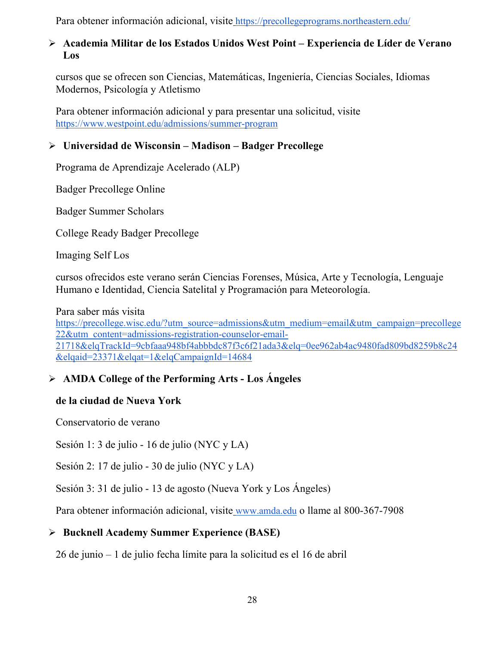Para obtener información adicional, visite <https://precollegeprograms.northeastern.edu/>

#### **Academia Militar de los Estados Unidos West Point – Experiencia de Líder de Verano Los**

cursos que se ofrecen son Ciencias, Matemáticas, Ingeniería, Ciencias Sociales, Idiomas Modernos, Psicología y Atletismo

Para obtener información adicional y para presentar una solicitud, visit[e](https://www.westpoint.edu/admissions/summer-program) <https://www.westpoint.edu/admissions/summer-program>

#### **Universidad de Wisconsin – Madison – Badger Precollege**

Programa de Aprendizaje Acelerado (ALP)

Badger Precollege Online

Badger Summer Scholars

College Ready Badger Precollege

Imaging Self Los

cursos ofrecidos este verano serán Ciencias Forenses, Música, Arte y Tecnología, Lenguaje Humano e Identidad, Ciencia Satelital y Programación para Meteorología.

Para saber más visit[a](https://precollege.wisc.edu/?utm_source=admissions&utm_medium=email&utm_campaign=precollege22&utm_content=admissions-registration-counselor-email-21718&elqTrackId=9cbfaaa948bf4abbbdc87f3c6f21ada3&elq=0ee962ab4ac9480fad809bd8259b8c24&elqaid=23371&elqat=1&elqCampaignId=14684)

[https://precollege.wisc.edu/?utm\\_source=admissions&utm\\_medium=email&utm\\_campaign=precollege](https://precollege.wisc.edu/?utm_source=admissions&utm_medium=email&utm_campaign=precollege22&utm_content=admissions-registration-counselor-email-21718&elqTrackId=9cbfaaa948bf4abbbdc87f3c6f21ada3&elq=0ee962ab4ac9480fad809bd8259b8c24&elqaid=23371&elqat=1&elqCampaignId=14684) [22&utm\\_content=admissions-registration-counselor-email-](https://precollege.wisc.edu/?utm_source=admissions&utm_medium=email&utm_campaign=precollege22&utm_content=admissions-registration-counselor-email-21718&elqTrackId=9cbfaaa948bf4abbbdc87f3c6f21ada3&elq=0ee962ab4ac9480fad809bd8259b8c24&elqaid=23371&elqat=1&elqCampaignId=14684)[21718&elqTrackId=9cbfaaa948bf4abbbdc87f3c6f21ada3&elq=0ee962ab4ac9480fad809bd8259b8c24](https://precollege.wisc.edu/?utm_source=admissions&utm_medium=email&utm_campaign=precollege22&utm_content=admissions-registration-counselor-email-21718&elqTrackId=9cbfaaa948bf4abbbdc87f3c6f21ada3&elq=0ee962ab4ac9480fad809bd8259b8c24&elqaid=23371&elqat=1&elqCampaignId=14684) [&elqaid=23371&elqat=1&elqCampaignId=14684](https://precollege.wisc.edu/?utm_source=admissions&utm_medium=email&utm_campaign=precollege22&utm_content=admissions-registration-counselor-email-21718&elqTrackId=9cbfaaa948bf4abbbdc87f3c6f21ada3&elq=0ee962ab4ac9480fad809bd8259b8c24&elqaid=23371&elqat=1&elqCampaignId=14684)

# **AMDA College of the Performing Arts - Los Ángeles**

#### **de la ciudad de Nueva York**

Conservatorio de verano

Sesión 1: 3 de julio - 16 de julio (NYC y LA)

Sesión 2: 17 de julio - 30 de julio (NYC y LA)

Sesión 3: 31 de julio - 13 de agosto (Nueva York y Los Ángeles)

Para obtener información adicional, visite [www.amda.edu](http://www.amda.edu/) o llame al 800-367-7908

# **Bucknell Academy Summer Experience (BASE)**

26 de junio – 1 de julio fecha límite para la solicitud es el 16 de abril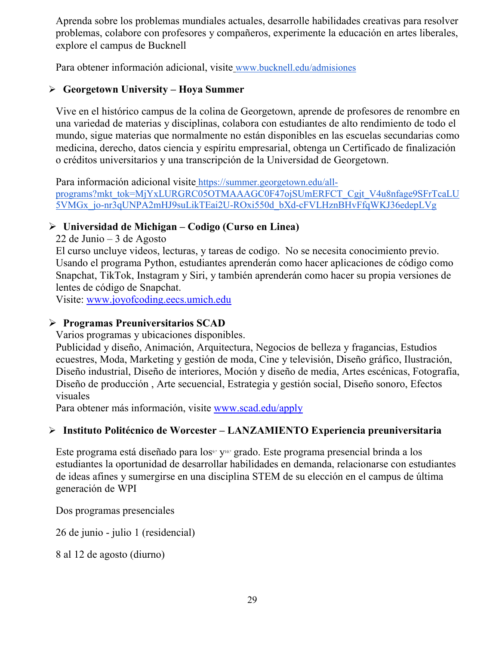Aprenda sobre los problemas mundiales actuales, desarrolle habilidades creativas para resolver problemas, colabore con profesores y compañeros, experimente la educación en artes liberales, explore el campus de Bucknell

Para obtener información adicional, visite [www.bucknell.edu/admisiones](http://www.bucknell.edu/admissions)

#### **Georgetown University – Hoya Summer**

Vive en el histórico campus de la colina de Georgetown, aprende de profesores de renombre en una variedad de materias y disciplinas, colabora con estudiantes de alto rendimiento de todo el mundo, sigue materias que normalmente no están disponibles en las escuelas secundarias como medicina, derecho, datos ciencia y espíritu empresarial, obtenga un Certificado de finalización o créditos universitarios y una transcripción de la Universidad de Georgetown.

Para información adicional visite [https://summer.georgetown.edu/all](https://summer.georgetown.edu/all-programs?mkt_tok=MjYxLURGRC05OTMAAAGC0F47ojSUmERFCT_Cgjt_V4u8nfage9SFrTcaLU5VMGx_jo-nr3qUNPA2mHJ9suLikTEai2U-ROxi550d_bXd-cFVLHznBHvFfqWKJ36edepLVg)[programs?mkt\\_tok=MjYxLURGRC05OTMAAAGC0F47ojSUmERFCT\\_Cgjt\\_V4u8nfage9SFrTcaLU](https://summer.georgetown.edu/all-programs?mkt_tok=MjYxLURGRC05OTMAAAGC0F47ojSUmERFCT_Cgjt_V4u8nfage9SFrTcaLU5VMGx_jo-nr3qUNPA2mHJ9suLikTEai2U-ROxi550d_bXd-cFVLHznBHvFfqWKJ36edepLVg) [5VMGx\\_jo-nr3qUNPA2mHJ9suLikTEai2U-ROxi550d\\_bXd-cFVLHznBHvFfqWKJ36edepLVg](https://summer.georgetown.edu/all-programs?mkt_tok=MjYxLURGRC05OTMAAAGC0F47ojSUmERFCT_Cgjt_V4u8nfage9SFrTcaLU5VMGx_jo-nr3qUNPA2mHJ9suLikTEai2U-ROxi550d_bXd-cFVLHznBHvFfqWKJ36edepLVg)

#### **Universidad de Michigan – Codigo (Curso en Linea)**

22 de Junio – 3 de Agosto

El curso uncluye videos, lecturas, y tareas de codigo. No se necesita conocimiento previo. Usando el programa Python, estudiantes aprenderán como hacer aplicaciones de código como Snapchat, TikTok, Instagram y Siri, y también aprenderán como hacer su propia versiones de lentes de código de Snapchat.

Visite: [www.joyofcoding.eecs.umich.edu](http://www.joyofcoding.eecs.umich.edu/)

#### **Programas Preuniversitarios SCAD**

Varios programas y ubicaciones disponibles.

Publicidad y diseño, Animación, Arquitectura, Negocios de belleza y fragancias, Estudios ecuestres, Moda, Marketing y gestión de moda, Cine y televisión, Diseño gráfico, Ilustración, Diseño industrial, Diseño de interiores, Moción y diseño de media, Artes escénicas, Fotografía, Diseño de producción , Arte secuencial, Estrategia y gestión social, Diseño sonoro, Efectos visuales

Para obtener más información, visite [www.scad.edu/apply](http://www.scad.edu/apply)

#### **Instituto Politécnico de Worcester – LANZAMIENTO Experiencia preuniversitaria**

Este programa está diseñado para los<sup>9.</sup> y<sup>10.</sup> grado. Este programa presencial brinda a los estudiantes la oportunidad de desarrollar habilidades en demanda, relacionarse con estudiantes de ideas afines y sumergirse en una disciplina STEM de su elección en el campus de última generación de WPI

Dos programas presenciales

26 de junio - julio 1 (residencial)

8 al 12 de agosto (diurno)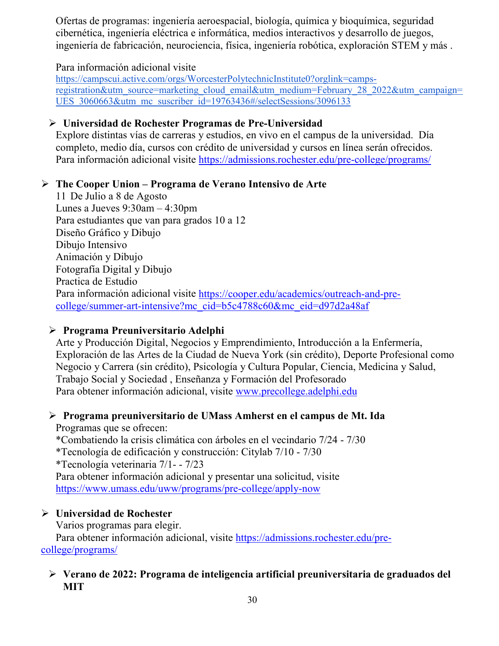Ofertas de programas: ingeniería aeroespacial, biología, química y bioquímica, seguridad cibernética, ingeniería eléctrica e informática, medios interactivos y desarrollo de juegos, ingeniería de fabricación, neurociencia, física, ingeniería robótica, exploración STEM y más .

#### Para información adicional visit[e](https://campscui.active.com/orgs/WorcesterPolytechnicInstitute0?orglink=camps-registration&utm_source=marketing_cloud_email&utm_medium=February_28_2022&utm_campaign=UES_3060663&utm_mc_suscriber_id=19763436#/selectSessions/3096133)

[https://campscui.active.com/orgs/WorcesterPolytechnicInstitute0?orglink=camps](https://campscui.active.com/orgs/WorcesterPolytechnicInstitute0?orglink=camps-registration&utm_source=marketing_cloud_email&utm_medium=February_28_2022&utm_campaign=UES_3060663&utm_mc_suscriber_id=19763436#/selectSessions/3096133)[registration&utm\\_source=marketing\\_cloud\\_email&utm\\_medium=February\\_28\\_2022&utm\\_campaign=](https://campscui.active.com/orgs/WorcesterPolytechnicInstitute0?orglink=camps-registration&utm_source=marketing_cloud_email&utm_medium=February_28_2022&utm_campaign=UES_3060663&utm_mc_suscriber_id=19763436#/selectSessions/3096133) UES 3060663&utm\_mc\_suscriber\_id=19763436#/selectSessions/3096133

### **Universidad de Rochester Programas de Pre-Universidad**

Explore distintas vías de carreras y estudios, en vivo en el campus de la universidad. Día completo, medio día, cursos con crédito de universidad y cursos en línea serán ofrecidos. Para información adicional visite<https://admissions.rochester.edu/pre-college/programs/>

#### **The Cooper Union – Programa de Verano Intensivo de Arte**

11 De Julio a 8 de Agosto Lunes a Jueves 9:30am – 4:30pm Para estudiantes que van para grados 10 a 12 Diseño Gráfico y Dibujo Dibujo Intensivo Animación y Dibujo Fotografía Digital y Dibujo Practica de Estudio Para información adicional visite [https://cooper.edu/academics/outreach-and-pre](https://cooper.edu/academics/outreach-and-pre-college/summer-art-intensive?mc_cid=b5c4788c60&mc_eid=d97d2a48af)[college/summer-art-intensive?mc\\_cid=b5c4788c60&mc\\_eid=d97d2a48af](https://cooper.edu/academics/outreach-and-pre-college/summer-art-intensive?mc_cid=b5c4788c60&mc_eid=d97d2a48af)

#### **Programa Preuniversitario Adelphi**

Arte y Producción Digital, Negocios y Emprendimiento, Introducción a la Enfermería, Exploración de las Artes de la Ciudad de Nueva York (sin crédito), Deporte Profesional como Negocio y Carrera (sin crédito), Psicología y Cultura Popular, Ciencia, Medicina y Salud, Trabajo Social y Sociedad , Enseñanza y Formación del Profesorado Para obtener información adicional, visite [www.precollege.adelphi.edu](http://www.precollege.adelphi.edu/)

# **Programa preuniversitario de UMass Amherst en el campus de Mt. Ida**

Programas que se ofrecen: \*Combatiendo la crisis climática con árboles en el vecindario 7/24 - 7/30 \*Tecnología de edificación y construcción: Citylab 7/10 - 7/30 \*Tecnología veterinaria 7/1- - 7/23 Para obtener información adicional y presentar una solicitud, visite <https://www.umass.edu/uww/programs/pre-college/apply-now>

# **Universidad de Rochester**

Varios programas para elegir.

Para obtener información adicional, visite [https://admissions.rochester.edu/pre](https://admissions.rochester.edu/pre-college/programs/)[college/programs/](https://admissions.rochester.edu/pre-college/programs/)

#### **Verano de 2022: Programa de inteligencia artificial preuniversitaria de graduados del MIT**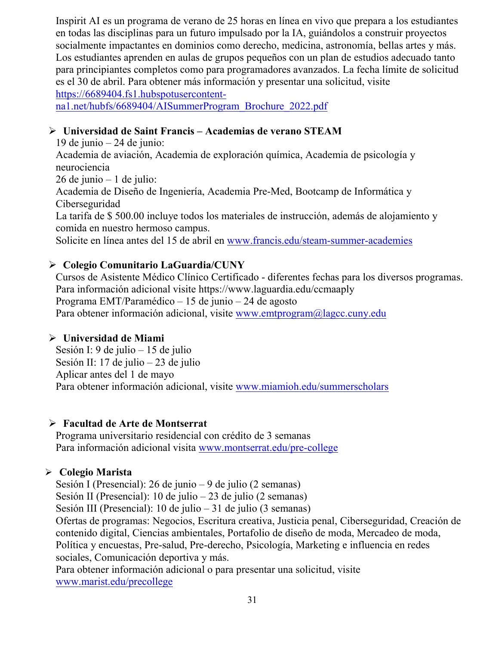Inspirit AI es un programa de verano de 25 horas en línea en vivo que prepara a los estudiantes en todas las disciplinas para un futuro impulsado por la IA, guiándolos a construir proyectos socialmente impactantes en dominios como derecho, medicina, astronomía, bellas artes y más. Los estudiantes aprenden en aulas de grupos pequeños con un plan de estudios adecuado tanto para principiantes completos como para programadores avanzados. La fecha límite de solicitud es el 30 de abril. Para obtener más información y presentar una solicitud, visite [https://6689404.fs1.hubspotusercontent-](https://6689404.fs1.hubspotusercontent-na1.net/hubfs/6689404/AISummerProgram_Brochure_2022.pdf)

[na1.net/hubfs/6689404/AISummerProgram\\_Brochure\\_2022.pdf](https://6689404.fs1.hubspotusercontent-na1.net/hubfs/6689404/AISummerProgram_Brochure_2022.pdf)

#### **Universidad de Saint Francis – Academias de verano STEAM**

19 de junio – 24 de junio:

Academia de aviación, Academia de exploración química, Academia de psicología y neurociencia

26 de junio – 1 de julio:

Academia de Diseño de Ingeniería, Academia Pre-Med, Bootcamp de Informática y Ciberseguridad

La tarifa de \$ 500.00 incluye todos los materiales de instrucción, además de alojamiento y comida en nuestro hermoso campus.

Solicite en línea antes del 15 de abril en [www.francis.edu/steam-summer-academies](http://www.francis.edu/steam-summer-academies)

# **Colegio Comunitario LaGuardia/CUNY**

Cursos de Asistente Médico Clínico Certificado - diferentes fechas para los diversos programas. Para información adicional visite https://www.laguardia.edu/ccmaaply Programa EMT/Paramédico – 15 de junio – 24 de agosto Para obtener información adicional, visite [www.emtprogram@lagcc.cuny.edu](http://www.emtprogram@lagcc.cuny.edu)

#### **Universidad de Miami**

Sesión I: 9 de julio – 15 de julio Sesión II: 17 de julio – 23 de julio Aplicar antes del 1 de mayo Para obtener información adicional, visite [www.miamioh.edu/summerscholars](http://www.miamioh.edu/summerscholars)

#### **Facultad de Arte de Montserrat**

Programa universitario residencial con crédito de 3 semanas Para información adicional visita [www.montserrat.edu/pre-college](http://www.montserrat.edu/pre-college)

#### **Colegio Marista**

Sesión I (Presencial): 26 de junio – 9 de julio (2 semanas) Sesión II (Presencial): 10 de julio – 23 de julio (2 semanas)

Sesión III (Presencial): 10 de julio – 31 de julio (3 semanas)

Ofertas de programas: Negocios, Escritura creativa, Justicia penal, Ciberseguridad, Creación de contenido digital, Ciencias ambientales, Portafolio de diseño de moda, Mercadeo de moda, Política y encuestas, Pre-salud, Pre-derecho, Psicología, Marketing e influencia en redes sociales, Comunicación deportiva y más.

Para obtener información adicional o para presentar una solicitud, visite [www.marist.edu/precollege](http://www.marist.edu/precollege)